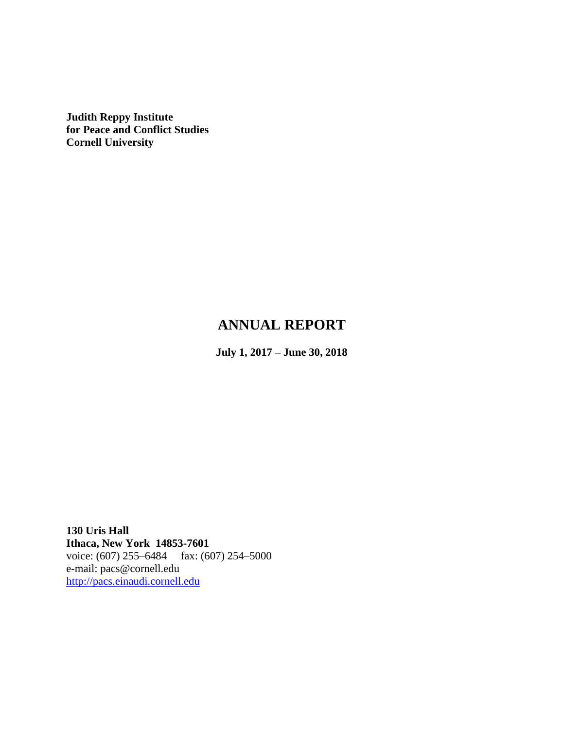**Judith Reppy Institute for Peace and Conflict Studies Cornell University**

# **ANNUAL REPORT**

**July 1, 2017 – June 30, 2018**

**130 Uris Hall Ithaca, New York 14853-7601** voice: (607) 255–6484 fax: (607) 254–5000 e-mail: pacs@cornell.edu [http://pacs.einaudi.cornell.edu](http://pacs.einaudi.cornell.edu/)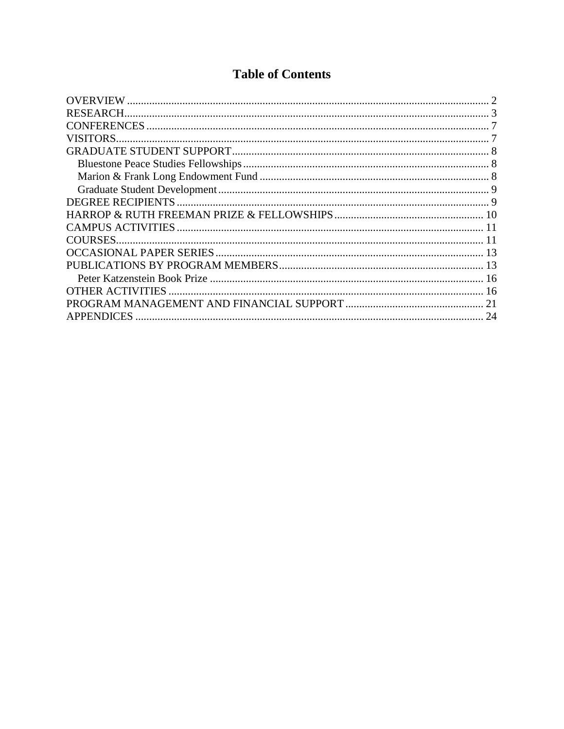# **Table of Contents**

| <b>RESEARCH</b>   |    |
|-------------------|----|
|                   |    |
| VISITORS.         |    |
|                   |    |
|                   |    |
|                   |    |
|                   |    |
|                   |    |
|                   |    |
|                   |    |
| <b>COURSES.</b>   |    |
|                   |    |
|                   |    |
|                   |    |
|                   |    |
|                   | 21 |
| <b>APPENDICES</b> | 24 |
|                   |    |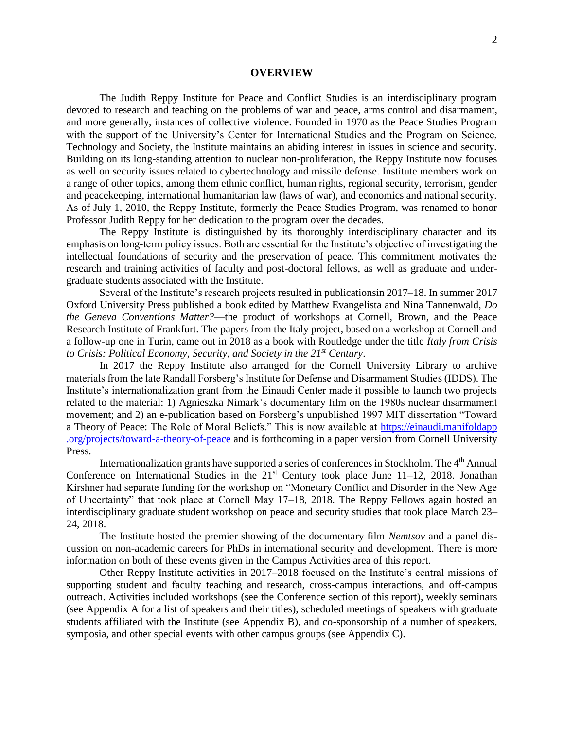#### **OVERVIEW**

<span id="page-2-0"></span>The Judith Reppy Institute for Peace and Conflict Studies is an interdisciplinary program devoted to research and teaching on the problems of war and peace, arms control and disarmament, and more generally, instances of collective violence. Founded in 1970 as the Peace Studies Program with the support of the University's Center for International Studies and the Program on Science, Technology and Society, the Institute maintains an abiding interest in issues in science and security. Building on its long-standing attention to nuclear non-proliferation, the Reppy Institute now focuses as well on security issues related to cybertechnology and missile defense. Institute members work on a range of other topics, among them ethnic conflict, human rights, regional security, terrorism, gender and peacekeeping, international humanitarian law (laws of war), and economics and national security. As of July 1, 2010, the Reppy Institute, formerly the Peace Studies Program, was renamed to honor Professor Judith Reppy for her dedication to the program over the decades.

The Reppy Institute is distinguished by its thoroughly interdisciplinary character and its emphasis on long-term policy issues. Both are essential for the Institute's objective of investigating the intellectual foundations of security and the preservation of peace. This commitment motivates the research and training activities of faculty and post-doctoral fellows, as well as graduate and undergraduate students associated with the Institute.

Several of the Institute's research projects resulted in publicationsin 2017–18. In summer 2017 Oxford University Press published a book edited by Matthew Evangelista and Nina Tannenwald, *Do the Geneva Conventions Matter?*—the product of workshops at Cornell, Brown, and the Peace Research Institute of Frankfurt. The papers from the Italy project, based on a workshop at Cornell and a follow-up one in Turin, came out in 2018 as a book with Routledge under the title *Italy from Crisis to Crisis: Political Economy, Security, and Society in the 21st Century*.

In 2017 the Reppy Institute also arranged for the Cornell University Library to archive materials from the late Randall Forsberg's Institute for Defense and Disarmament Studies (IDDS). The Institute's internationalization grant from the Einaudi Center made it possible to launch two projects related to the material: 1) Agnieszka Nimark's documentary film on the 1980s nuclear disarmament movement; and 2) an e-publication based on Forsberg's unpublished 1997 MIT dissertation "Toward a Theory of Peace: The Role of Moral Beliefs." This is now available at [https://einaudi.manifoldapp](https://einaudi.manifoldapp.org/projects/toward-a-theory-of-peace) [.org/projects/toward-a-theory-of-peace](https://einaudi.manifoldapp.org/projects/toward-a-theory-of-peace) and is forthcoming in a paper version from Cornell University Press.

Internationalization grants have supported a series of conferences in Stockholm. The 4<sup>th</sup> Annual Conference on International Studies in the  $21<sup>st</sup>$  Century took place June 11–12, 2018. Jonathan Kirshner had separate funding for the workshop on "Monetary Conflict and Disorder in the New Age of Uncertainty" that took place at Cornell May 17–18, 2018. The Reppy Fellows again hosted an interdisciplinary graduate student workshop on peace and security studies that took place March 23– 24, 2018.

The Institute hosted the premier showing of the documentary film *Nemtsov* and a panel discussion on non-academic careers for PhDs in international security and development. There is more information on both of these events given in the Campus Activities area of this report.

Other Reppy Institute activities in 2017–2018 focused on the Institute's central missions of supporting student and faculty teaching and research, cross-campus interactions, and off-campus outreach. Activities included workshops (see the Conference section of this report), weekly seminars (see Appendix A for a list of speakers and their titles), scheduled meetings of speakers with graduate students affiliated with the Institute (see Appendix B), and co-sponsorship of a number of speakers, symposia, and other special events with other campus groups (see Appendix C).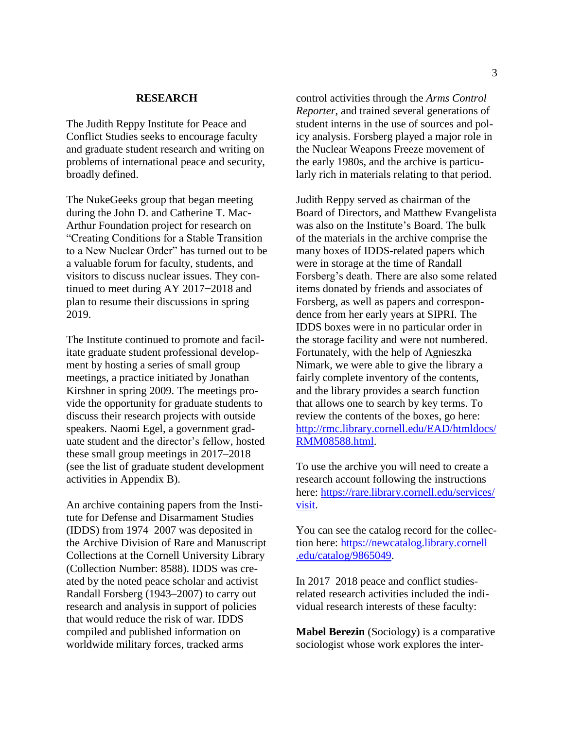## **RESEARCH**

<span id="page-3-0"></span>The Judith Reppy Institute for Peace and Conflict Studies seeks to encourage faculty and graduate student research and writing on problems of international peace and security, broadly defined.

The NukeGeeks group that began meeting during the John D. and Catherine T. Mac-Arthur Foundation project for research on "Creating Conditions for a Stable Transition to a New Nuclear Order" has turned out to be a valuable forum for faculty, students, and visitors to discuss nuclear issues. They continued to meet during AY 2017−2018 and plan to resume their discussions in spring 2019.

The Institute continued to promote and facilitate graduate student professional development by hosting a series of small group meetings, a practice initiated by Jonathan Kirshner in spring 2009. The meetings provide the opportunity for graduate students to discuss their research projects with outside speakers. Naomi Egel, a government graduate student and the director's fellow, hosted these small group meetings in 2017–2018 (see the list of graduate student development activities in Appendix B).

An archive containing papers from the Institute for Defense and Disarmament Studies (IDDS) from 1974–2007 was deposited in the Archive Division of Rare and Manuscript Collections at the Cornell University Library (Collection Number: 8588). IDDS was created by the noted peace scholar and activist Randall Forsberg (1943–2007) to carry out research and analysis in support of policies that would reduce the risk of war. IDDS compiled and published information on worldwide military forces, tracked arms

control activities through the *Arms Control Reporter*, and trained several generations of student interns in the use of sources and policy analysis. Forsberg played a major role in the Nuclear Weapons Freeze movement of the early 1980s, and the archive is particularly rich in materials relating to that period.

Judith Reppy served as chairman of the Board of Directors, and Matthew Evangelista was also on the Institute's Board. The bulk of the materials in the archive comprise the many boxes of IDDS-related papers which were in storage at the time of Randall Forsberg's death. There are also some related items donated by friends and associates of Forsberg, as well as papers and correspondence from her early years at SIPRI. The IDDS boxes were in no particular order in the storage facility and were not numbered. Fortunately, with the help of Agnieszka Nimark, we were able to give the library a fairly complete inventory of the contents, and the library provides a search function that allows one to search by key terms. To review the contents of the boxes, go here: [http://rmc.library.cornell.edu/EAD/htmldocs/](http://rmc.library.cornell.edu/EAD/htmldocs/RMM08588.html) [RMM08588.html.](http://rmc.library.cornell.edu/EAD/htmldocs/RMM08588.html)

To use the archive you will need to create a research account following the instructions here: [https://rare.library.cornell.edu/services/](https://rare.library.cornell.edu/services/‌visit) [visit.](https://rare.library.cornell.edu/services/‌visit)

You can see the catalog record for the collection here: [https://newcatalog.library.cornell](https://newcatalog.library.cornell.edu/catalog/9865049) [.edu/catalog/9865049.](https://newcatalog.library.cornell.edu/catalog/9865049)

In 2017–2018 peace and conflict studiesrelated research activities included the individual research interests of these faculty:

**Mabel Berezin** (Sociology) is a comparative sociologist whose work explores the inter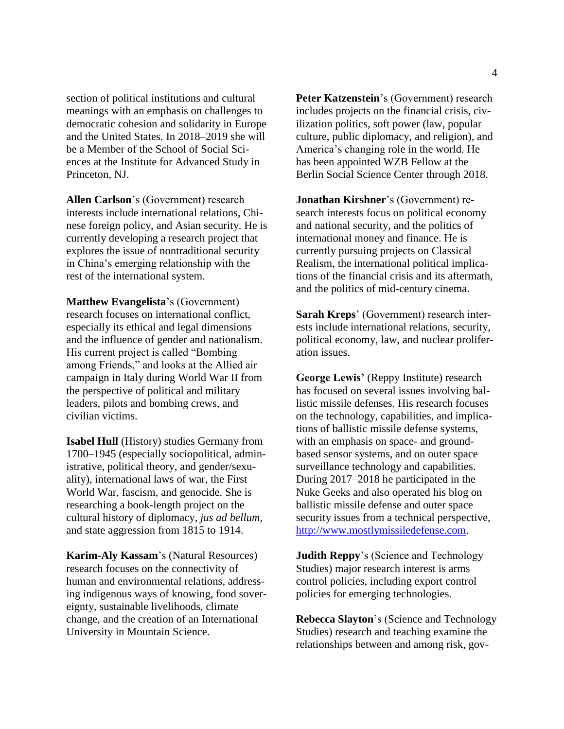section of political institutions and cultural meanings with an emphasis on challenges to democratic cohesion and solidarity in Europe and the United States. In 2018–2019 she will be a Member of the School of Social Sciences at the Institute for Advanced Study in Princeton, NJ.

**Allen Carlson**'s (Government) research interests include international relations, Chinese foreign policy, and Asian security. He is currently developing a research project that explores the issue of nontraditional security in China's emerging relationship with the rest of the international system.

**Matthew Evangelista**'s (Government) research focuses on international conflict, especially its ethical and legal dimensions and the influence of gender and nationalism. His current project is called "Bombing among Friends," and looks at the Allied air campaign in Italy during World War II from the perspective of political and military leaders, pilots and bombing crews, and civilian victims.

**Isabel Hull** (History) studies Germany from 1700–1945 (especially sociopolitical, administrative, political theory, and gender/sexuality), international laws of war, the First World War, fascism, and genocide. She is researching a book-length project on the cultural history of diplomacy, *jus ad bellum*, and state aggression from 1815 to 1914.

**Karim-Aly Kassam**'s (Natural Resources) research focuses on the connectivity of human and environmental relations, addressing indigenous ways of knowing, food sovereignty, sustainable livelihoods, climate change, and the creation of an International University in Mountain Science.

**Peter Katzenstein**'s (Government) research includes projects on the financial crisis, civilization politics, soft power (law, popular culture, public diplomacy, and religion), and America's changing role in the world. He has been appointed WZB Fellow at the Berlin Social Science Center through 2018.

**Jonathan Kirshner**'s (Government) research interests focus on political economy and national security, and the politics of international money and finance. He is currently pursuing projects on Classical Realism, the international political implications of the financial crisis and its aftermath, and the politics of mid-century cinema.

**Sarah Kreps**' (Government) research interests include international relations, security, political economy, law, and nuclear proliferation issues.

**George Lewis'** (Reppy Institute) research has focused on several issues involving ballistic missile defenses. His research focuses on the technology, capabilities, and implications of ballistic missile defense systems, with an emphasis on space- and groundbased sensor systems, and on outer space surveillance technology and capabilities. During 2017–2018 he participated in the Nuke Geeks and also operated his blog on ballistic missile defense and outer space security issues from a technical perspective, [http://www.mostlymissiledefense.com.](http://www.mostlymissiledefense.com/)

**Judith Reppy**'s (Science and Technology Studies) major research interest is arms control policies, including export control policies for emerging technologies.

**Rebecca Slayton**'s (Science and Technology Studies) research and teaching examine the relationships between and among risk, gov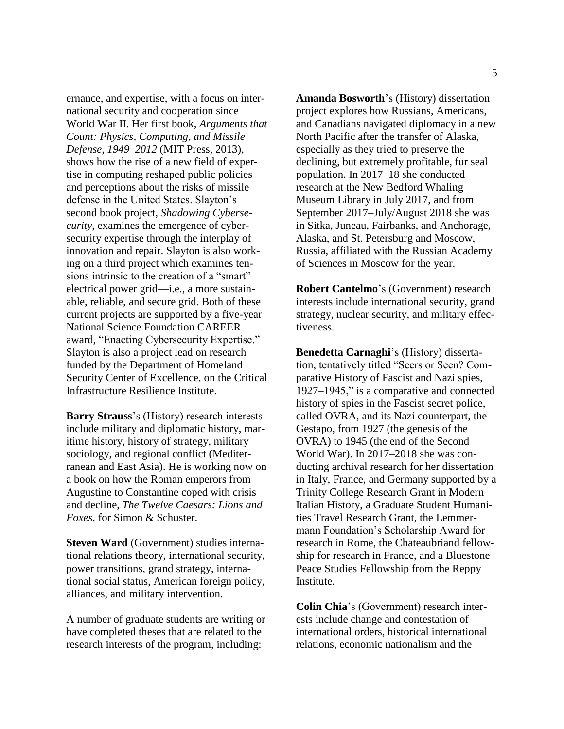ernance, and expertise, with a focus on international security and cooperation since World War II. Her first book, *Arguments that Count: Physics, Computing, and Missile Defense, 1949–2012* (MIT Press, 2013), shows how the rise of a new field of expertise in computing reshaped public policies and perceptions about the risks of missile defense in the United States. Slayton's second book project, *Shadowing Cybersecurity*, examines the emergence of cybersecurity expertise through the interplay of innovation and repair. Slayton is also working on a third project which examines tensions intrinsic to the creation of a "smart" electrical power grid—i.e., a more sustainable, reliable, and secure grid. Both of these current projects are supported by a five-year National Science Foundation CAREER award, "Enacting Cybersecurity Expertise." Slayton is also a project lead on research funded by the Department of Homeland Security Center of Excellence, on the Critical Infrastructure Resilience Institute.

**Barry Strauss**'s (History) research interests include military and diplomatic history, maritime history, history of strategy, military sociology, and regional conflict (Mediterranean and East Asia). He is working now on a book on how the Roman emperors from Augustine to Constantine coped with crisis and decline, *The Twelve Caesars: Lions and Foxes*, for Simon & Schuster.

**Steven Ward** (Government) studies international relations theory, international security, power transitions, grand strategy, international social status, American foreign policy, alliances, and military intervention.

A number of graduate students are writing or have completed theses that are related to the research interests of the program, including:

**Amanda Bosworth**'s (History) dissertation project explores how Russians, Americans, and Canadians navigated diplomacy in a new North Pacific after the transfer of Alaska, especially as they tried to preserve the declining, but extremely profitable, fur seal population. In 2017–18 she conducted research at the New Bedford Whaling Museum Library in July 2017, and from September 2017–July/August 2018 she was in Sitka, Juneau, Fairbanks, and Anchorage, Alaska, and St. Petersburg and Moscow, Russia, affiliated with the Russian Academy of Sciences in Moscow for the year.

**Robert Cantelmo**'s (Government) research interests include international security, grand strategy, nuclear security, and military effectiveness.

**Benedetta Carnaghi**'s (History) dissertation, tentatively titled "Seers or Seen? Comparative History of Fascist and Nazi spies, 1927–1945," is a comparative and connected history of spies in the Fascist secret police, called OVRA, and its Nazi counterpart, the Gestapo, from 1927 (the genesis of the OVRA) to 1945 (the end of the Second World War). In 2017–2018 she was conducting archival research for her dissertation in Italy, France, and Germany supported by a Trinity College Research Grant in Modern Italian History, a Graduate Student Humanities Travel Research Grant, the Lemmermann Foundation's Scholarship Award for research in Rome, the Chateaubriand fellowship for research in France, and a Bluestone Peace Studies Fellowship from the Reppy Institute.

**Colin Chia**'s (Government) research interests include change and contestation of international orders, historical international relations, economic nationalism and the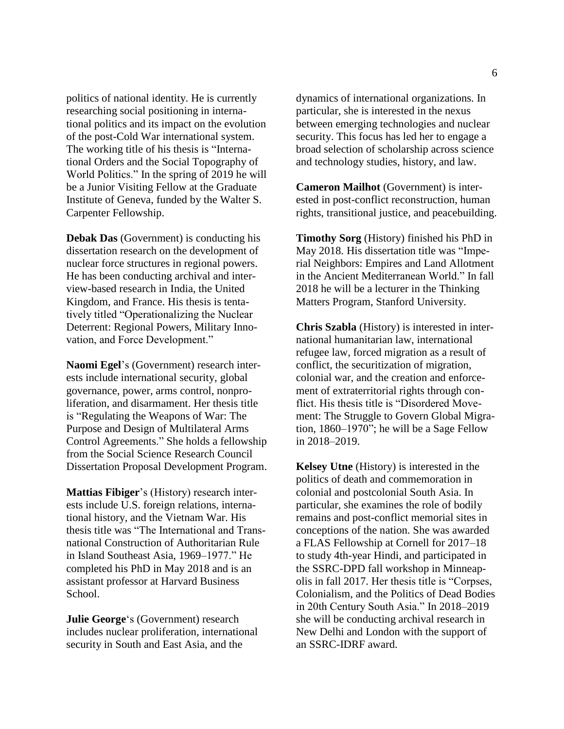politics of national identity. He is currently researching social positioning in international politics and its impact on the evolution of the post-Cold War international system. The working title of his thesis is "International Orders and the Social Topography of World Politics." In the spring of 2019 he will be a Junior Visiting Fellow at the Graduate Institute of Geneva, funded by the Walter S. Carpenter Fellowship.

**Debak Das** (Government) is conducting his dissertation research on the development of nuclear force structures in regional powers. He has been conducting archival and interview-based research in India, the United Kingdom, and France. His thesis is tentatively titled "Operationalizing the Nuclear Deterrent: Regional Powers, Military Innovation, and Force Development."

**Naomi Egel**'s (Government) research interests include international security, global governance, power, arms control, nonproliferation, and disarmament. Her thesis title is "Regulating the Weapons of War: The Purpose and Design of Multilateral Arms Control Agreements." She holds a fellowship from the Social Science Research Council Dissertation Proposal Development Program.

**Mattias Fibiger**'s (History) research interests include U.S. foreign relations, international history, and the Vietnam War. His thesis title was "The International and Transnational Construction of Authoritarian Rule in Island Southeast Asia, 1969–1977." He completed his PhD in May 2018 and is an assistant professor at Harvard Business School.

**Julie George**'s (Government) research includes nuclear proliferation, international security in South and East Asia, and the

dynamics of international organizations. In particular, she is interested in the nexus between emerging technologies and nuclear security. This focus has led her to engage a broad selection of scholarship across science and technology studies, history, and law.

**Cameron Mailhot** (Government) is interested in post-conflict reconstruction, human rights, transitional justice, and peacebuilding.

**Timothy Sorg** (History) finished his PhD in May 2018. His dissertation title was "Imperial Neighbors: Empires and Land Allotment in the Ancient Mediterranean World." In fall 2018 he will be a lecturer in the Thinking Matters Program, Stanford University.

**Chris Szabla** (History) is interested in international humanitarian law, international refugee law, forced migration as a result of conflict, the securitization of migration, colonial war, and the creation and enforcement of extraterritorial rights through conflict. His thesis title is "Disordered Movement: The Struggle to Govern Global Migration, 1860–1970"; he will be a Sage Fellow in 2018–2019.

**Kelsey Utne** (History) is interested in the politics of death and commemoration in colonial and postcolonial South Asia. In particular, she examines the role of bodily remains and post-conflict memorial sites in conceptions of the nation. She was awarded a FLAS Fellowship at Cornell for 2017–18 to study 4th-year Hindi, and participated in the SSRC-DPD fall workshop in Minneapolis in fall 2017. Her thesis title is "Corpses, Colonialism, and the Politics of Dead Bodies in 20th Century South Asia." In 2018–2019 she will be conducting archival research in New Delhi and London with the support of an SSRC-IDRF award.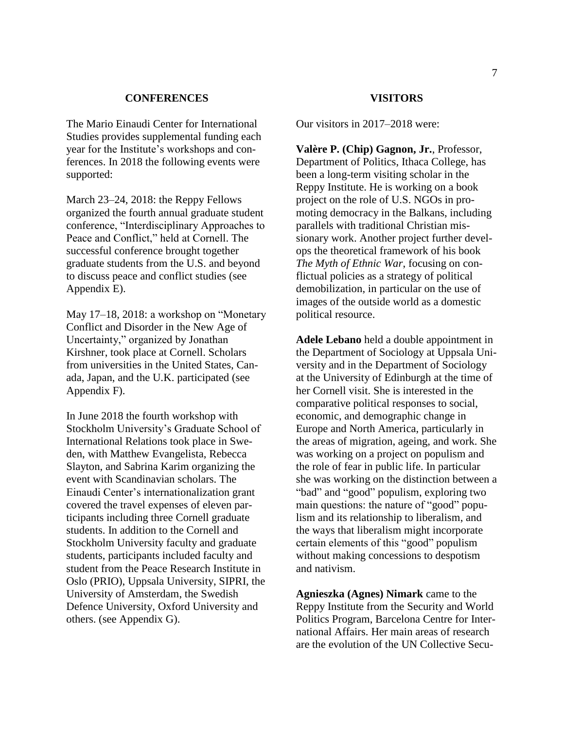## **CONFERENCES**

<span id="page-7-0"></span>The Mario Einaudi Center for International Studies provides supplemental funding each year for the Institute's workshops and conferences. In 2018 the following events were supported:

March 23–24, 2018: the Reppy Fellows organized the fourth annual graduate student conference, "Interdisciplinary Approaches to Peace and Conflict," held at Cornell. The successful conference brought together graduate students from the U.S. and beyond to discuss peace and conflict studies (see Appendix E).

May 17–18, 2018: a workshop on "Monetary Conflict and Disorder in the New Age of Uncertainty," organized by Jonathan Kirshner, took place at Cornell. Scholars from universities in the United States, Canada, Japan, and the U.K. participated (see Appendix F).

In June 2018 the fourth workshop with Stockholm University's Graduate School of International Relations took place in Sweden, with Matthew Evangelista, Rebecca Slayton, and Sabrina Karim organizing the event with Scandinavian scholars. The Einaudi Center's internationalization grant covered the travel expenses of eleven participants including three Cornell graduate students. In addition to the Cornell and Stockholm University faculty and graduate students, participants included faculty and student from the Peace Research Institute in Oslo (PRIO), Uppsala University, SIPRI, the University of Amsterdam, the Swedish Defence University, Oxford University and others. (see Appendix G).

#### **VISITORS**

<span id="page-7-1"></span>Our visitors in 2017–2018 were:

**Valère P. (Chip) Gagnon, Jr.**, Professor, Department of Politics, Ithaca College, has been a long-term visiting scholar in the Reppy Institute. He is working on a book project on the role of U.S. NGOs in promoting democracy in the Balkans, including parallels with traditional Christian missionary work. Another project further develops the theoretical framework of his book *The Myth of Ethnic War*, focusing on conflictual policies as a strategy of political demobilization, in particular on the use of images of the outside world as a domestic political resource.

**Adele Lebano** held a double appointment in the Department of Sociology at Uppsala University and in the Department of Sociology at the University of Edinburgh at the time of her Cornell visit. She is interested in the comparative political responses to social, economic, and demographic change in Europe and North America, particularly in the areas of migration, ageing, and work. She was working on a project on populism and the role of fear in public life. In particular she was working on the distinction between a "bad" and "good" populism, exploring two main questions: the nature of "good" populism and its relationship to liberalism, and the ways that liberalism might incorporate certain elements of this "good" populism without making concessions to despotism and nativism.

**Agnieszka (Agnes) Nimark** came to the Reppy Institute from the Security and World Politics Program, Barcelona Centre for International Affairs. Her main areas of research are the evolution of the UN Collective Secu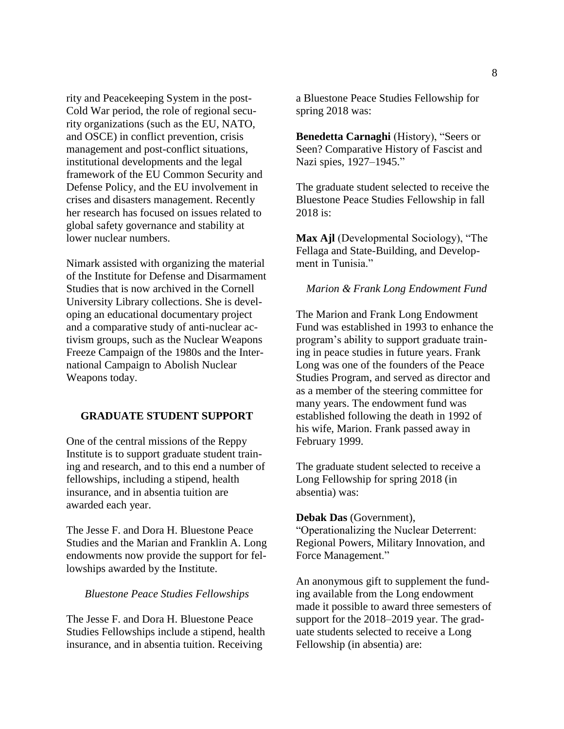rity and Peacekeeping System in the post-Cold War period, the role of regional security organizations (such as the EU, NATO, and OSCE) in conflict prevention, crisis management and post-conflict situations, institutional developments and the legal framework of the EU Common Security and Defense Policy, and the EU involvement in crises and disasters management. Recently her research has focused on issues related to global safety governance and stability at lower nuclear numbers.

Nimark assisted with organizing the material of the Institute for Defense and Disarmament Studies that is now archived in the Cornell University Library collections. She is developing an educational documentary project and a comparative study of anti-nuclear activism groups, such as the Nuclear Weapons Freeze Campaign of the 1980s and the International Campaign to Abolish Nuclear Weapons today.

## <span id="page-8-0"></span>**GRADUATE STUDENT SUPPORT**

One of the central missions of the Reppy Institute is to support graduate student training and research, and to this end a number of fellowships, including a stipend, health insurance, and in absentia tuition are awarded each year.

The Jesse F. and Dora H. Bluestone Peace Studies and the Marian and Franklin A. Long endowments now provide the support for fellowships awarded by the Institute.

## <span id="page-8-1"></span>*Bluestone Peace Studies Fellowships*

The Jesse F. and Dora H. Bluestone Peace Studies Fellowships include a stipend, health insurance, and in absentia tuition. Receiving

a Bluestone Peace Studies Fellowship for spring 2018 was:

**Benedetta Carnaghi** (History), "Seers or Seen? Comparative History of Fascist and Nazi spies, 1927–1945."

The graduate student selected to receive the Bluestone Peace Studies Fellowship in fall 2018 is:

**Max Ajl** (Developmental Sociology), "The Fellaga and State-Building, and Development in Tunisia."

#### <span id="page-8-2"></span>*Marion & Frank Long Endowment Fund*

The Marion and Frank Long Endowment Fund was established in 1993 to enhance the program's ability to support graduate training in peace studies in future years. Frank Long was one of the founders of the Peace Studies Program, and served as director and as a member of the steering committee for many years. The endowment fund was established following the death in 1992 of his wife, Marion. Frank passed away in February 1999.

The graduate student selected to receive a Long Fellowship for spring 2018 (in absentia) was:

### **Debak Das** (Government),

"Operationalizing the Nuclear Deterrent: Regional Powers, Military Innovation, and Force Management."

An anonymous gift to supplement the funding available from the Long endowment made it possible to award three semesters of support for the 2018–2019 year. The graduate students selected to receive a Long Fellowship (in absentia) are: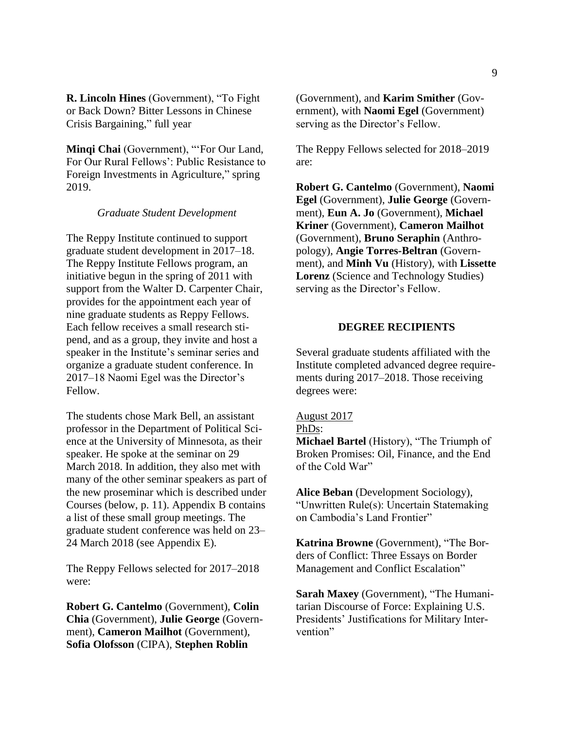**R. Lincoln Hines** (Government), "To Fight or Back Down? Bitter Lessons in Chinese Crisis Bargaining," full year

**Minqi Chai** (Government), "'For Our Land, For Our Rural Fellows': Public Resistance to Foreign Investments in Agriculture," spring 2019.

#### *Graduate Student Development*

<span id="page-9-0"></span>The Reppy Institute continued to support graduate student development in 2017–18. The Reppy Institute Fellows program, an initiative begun in the spring of 2011 with support from the Walter D. Carpenter Chair, provides for the appointment each year of nine graduate students as Reppy Fellows. Each fellow receives a small research stipend, and as a group, they invite and host a speaker in the Institute's seminar series and organize a graduate student conference. In 2017–18 Naomi Egel was the Director's Fellow.

The students chose Mark Bell, an assistant professor in the Department of Political Science at the University of Minnesota, as their speaker. He spoke at the seminar on 29 March 2018. In addition, they also met with many of the other seminar speakers as part of the new proseminar which is described under Courses (below, p. 11). Appendix B contains a list of these small group meetings. The graduate student conference was held on 23– 24 March 2018 (see Appendix E).

The Reppy Fellows selected for 2017–2018 were:

**Robert G. Cantelmo** (Government), **Colin Chia** (Government), **Julie George** (Government), **Cameron Mailhot** (Government), **Sofia Olofsson** (CIPA), **Stephen Roblin**

(Government), and **Karim Smither** (Government), with **Naomi Egel** (Government) serving as the Director's Fellow.

The Reppy Fellows selected for 2018–2019 are:

**Robert G. Cantelmo** (Government), **Naomi Egel** (Government), **Julie George** (Government), **Eun A. Jo** (Government), **Michael Kriner** (Government), **Cameron Mailhot** (Government), **Bruno Seraphin** (Anthropology), **Angie Torres-Beltran** (Government), and **Minh Vu** (History), with **Lissette Lorenz** (Science and Technology Studies) serving as the Director's Fellow.

## **DEGREE RECIPIENTS**

<span id="page-9-1"></span>Several graduate students affiliated with the Institute completed advanced degree requirements during 2017–2018. Those receiving degrees were:

## August 2017

PhDs:

**Michael Bartel** (History), "The Triumph of Broken Promises: Oil, Finance, and the End of the Cold War"

**Alice Beban** (Development Sociology), "Unwritten Rule(s): Uncertain Statemaking on Cambodia's Land Frontier"

**Katrina Browne** (Government), "The Borders of Conflict: Three Essays on Border Management and Conflict Escalation"

**Sarah Maxey** (Government), "The Humanitarian Discourse of Force: Explaining U.S. Presidents' Justifications for Military Intervention"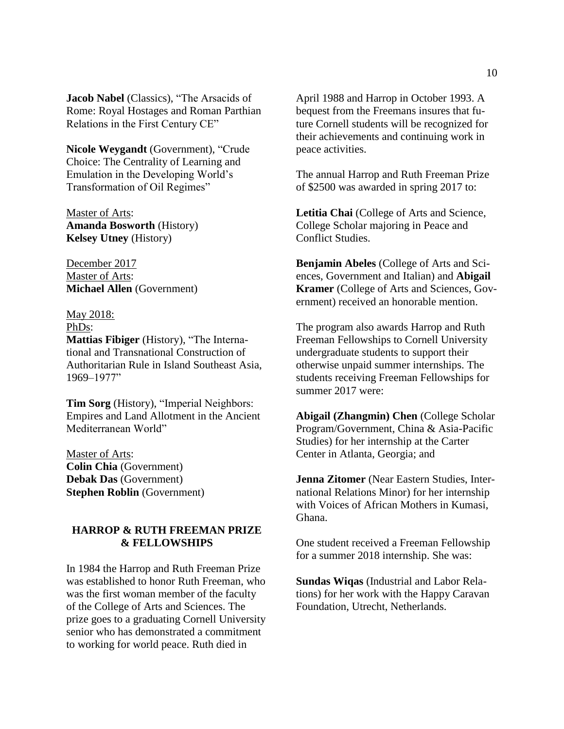**Jacob Nabel** (Classics), "The Arsacids of Rome: Royal Hostages and Roman Parthian Relations in the First Century CE"

**Nicole Weygandt** (Government), "Crude Choice: The Centrality of Learning and Emulation in the Developing World's Transformation of Oil Regimes"

Master of Arts: **Amanda Bosworth** (History) **Kelsey Utney** (History)

December 2017 Master of Arts: **Michael Allen** (Government)

May 2018: PhDs:

**Mattias Fibiger** (History), "The International and Transnational Construction of Authoritarian Rule in Island Southeast Asia, 1969–1977"

**Tim Sorg** (History), "Imperial Neighbors: Empires and Land Allotment in the Ancient Mediterranean World"

Master of Arts: **Colin Chia** (Government) **Debak Das** (Government) **Stephen Roblin** (Government)

## <span id="page-10-0"></span>**HARROP & RUTH FREEMAN PRIZE & FELLOWSHIPS**

In 1984 the Harrop and Ruth Freeman Prize was established to honor Ruth Freeman, who was the first woman member of the faculty of the College of Arts and Sciences. The prize goes to a graduating Cornell University senior who has demonstrated a commitment to working for world peace. Ruth died in

April 1988 and Harrop in October 1993. A bequest from the Freemans insures that future Cornell students will be recognized for their achievements and continuing work in peace activities.

The annual Harrop and Ruth Freeman Prize of \$2500 was awarded in spring 2017 to:

**Letitia Chai** (College of Arts and Science, College Scholar majoring in Peace and Conflict Studies.

**Benjamin Abeles** (College of Arts and Sciences, Government and Italian) and **Abigail Kramer** (College of Arts and Sciences, Government) received an honorable mention.

The program also awards Harrop and Ruth Freeman Fellowships to Cornell University undergraduate students to support their otherwise unpaid summer internships. The students receiving Freeman Fellowships for summer 2017 were:

**Abigail (Zhangmin) Chen** (College Scholar Program/Government, China & Asia-Pacific Studies) for her internship at the Carter Center in Atlanta, Georgia; and

**Jenna Zitomer** (Near Eastern Studies, International Relations Minor) for her internship with Voices of African Mothers in Kumasi, Ghana.

One student received a Freeman Fellowship for a summer 2018 internship. She was:

**Sundas Wiqas** (Industrial and Labor Relations) for her work with the Happy Caravan Foundation, Utrecht, Netherlands.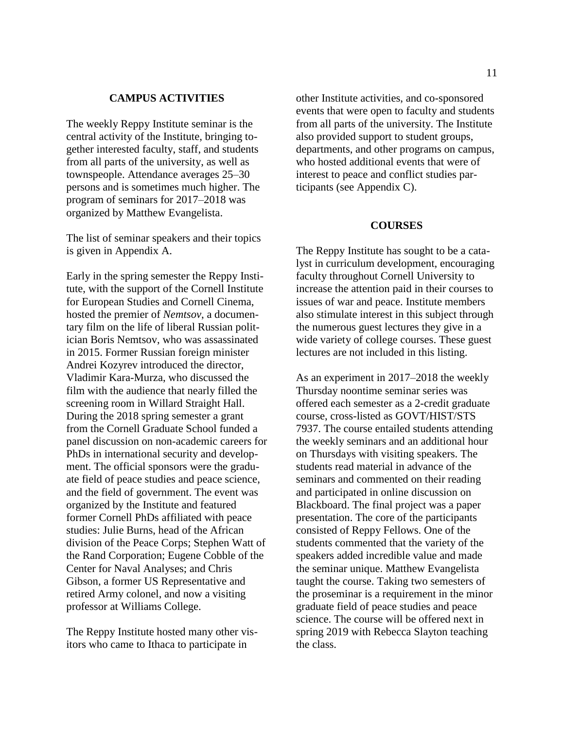## **CAMPUS ACTIVITIES**

<span id="page-11-0"></span>The weekly Reppy Institute seminar is the central activity of the Institute, bringing together interested faculty, staff, and students from all parts of the university, as well as townspeople. Attendance averages 25–30 persons and is sometimes much higher. The program of seminars for 2017–2018 was organized by Matthew Evangelista.

The list of seminar speakers and their topics is given in Appendix A.

Early in the spring semester the Reppy Institute, with the support of the Cornell Institute for European Studies and Cornell Cinema, hosted the premier of *Nemtsov*, a documentary film on the life of liberal Russian politician Boris Nemtsov, who was assassinated in 2015. Former Russian foreign minister Andrei Kozyrev introduced the director, Vladimir Kara-Murza, who discussed the film with the audience that nearly filled the screening room in Willard Straight Hall. During the 2018 spring semester a grant from the Cornell Graduate School funded a panel discussion on non-academic careers for PhDs in international security and development. The official sponsors were the graduate field of peace studies and peace science, and the field of government. The event was organized by the Institute and featured former Cornell PhDs affiliated with peace studies: Julie Burns, head of the African division of the Peace Corps; Stephen Watt of the Rand Corporation; Eugene Cobble of the Center for Naval Analyses; and Chris Gibson, a former US Representative and retired Army colonel, and now a visiting professor at Williams College.

The Reppy Institute hosted many other visitors who came to Ithaca to participate in

other Institute activities, and co-sponsored events that were open to faculty and students from all parts of the university. The Institute also provided support to student groups, departments, and other programs on campus, who hosted additional events that were of interest to peace and conflict studies participants (see Appendix C).

#### **COURSES**

<span id="page-11-1"></span>The Reppy Institute has sought to be a catalyst in curriculum development, encouraging faculty throughout Cornell University to increase the attention paid in their courses to issues of war and peace. Institute members also stimulate interest in this subject through the numerous guest lectures they give in a wide variety of college courses. These guest lectures are not included in this listing.

As an experiment in 2017–2018 the weekly Thursday noontime seminar series was offered each semester as a 2-credit graduate course, cross-listed as GOVT/HIST/STS 7937. The course entailed students attending the weekly seminars and an additional hour on Thursdays with visiting speakers. The students read material in advance of the seminars and commented on their reading and participated in online discussion on Blackboard. The final project was a paper presentation. The core of the participants consisted of Reppy Fellows. One of the students commented that the variety of the speakers added incredible value and made the seminar unique. Matthew Evangelista taught the course. Taking two semesters of the proseminar is a requirement in the minor graduate field of peace studies and peace science. The course will be offered next in spring 2019 with Rebecca Slayton teaching the class.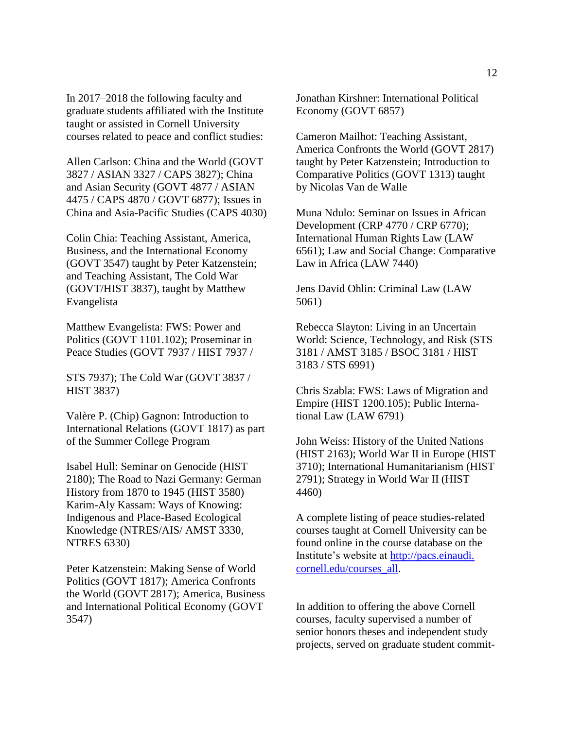In 2017–2018 the following faculty and graduate students affiliated with the Institute taught or assisted in Cornell University courses related to peace and conflict studies:

Allen Carlson: China and the World (GOVT 3827 / ASIAN 3327 / CAPS 3827); China and Asian Security (GOVT 4877 / ASIAN 4475 / CAPS 4870 / GOVT 6877); Issues in China and Asia-Pacific Studies (CAPS 4030)

Colin Chia: Teaching Assistant, America, Business, and the International Economy (GOVT 3547) taught by Peter Katzenstein; and Teaching Assistant, The Cold War (GOVT/HIST 3837), taught by Matthew Evangelista

Matthew Evangelista: FWS: Power and Politics (GOVT 1101.102); Proseminar in Peace Studies (GOVT 7937 / HIST 7937 /

STS 7937); The Cold War (GOVT 3837 / HIST 3837)

Valère P. (Chip) Gagnon: Introduction to International Relations (GOVT 1817) as part of the Summer College Program

Isabel Hull: Seminar on Genocide (HIST 2180); The Road to Nazi Germany: German History from 1870 to 1945 (HIST 3580) Karim-Aly Kassam: Ways of Knowing: Indigenous and Place-Based Ecological Knowledge (NTRES/AIS/ AMST 3330, NTRES 6330)

Peter Katzenstein: Making Sense of World Politics (GOVT 1817); America Confronts the World (GOVT 2817); America, Business and International Political Economy (GOVT 3547)

Jonathan Kirshner: International Political Economy (GOVT 6857)

Cameron Mailhot: Teaching Assistant, America Confronts the World (GOVT 2817) taught by Peter Katzenstein; Introduction to Comparative Politics (GOVT 1313) taught by Nicolas Van de Walle

Muna Ndulo: Seminar on Issues in African Development (CRP 4770 / CRP 6770); International Human Rights Law (LAW 6561); Law and Social Change: Comparative Law in Africa (LAW 7440)

Jens David Ohlin: Criminal Law (LAW 5061)

Rebecca Slayton: Living in an Uncertain World: Science, Technology, and Risk (STS 3181 / AMST 3185 / BSOC 3181 / HIST 3183 / STS 6991)

Chris Szabla: FWS: Laws of Migration and Empire (HIST 1200.105); Public International Law (LAW 6791)

John Weiss: History of the United Nations (HIST 2163); World War II in Europe (HIST 3710); International Humanitarianism (HIST 2791); Strategy in World War II (HIST 4460)

A complete listing of peace studies-related courses taught at Cornell University can be found online in the course database on the Institute's website at [http://pacs.einaudi.](http://pacs.einaudi.cornell.edu/courses_all) [cornell.edu/courses\\_all.](http://pacs.einaudi.cornell.edu/courses_all)

In addition to offering the above Cornell courses, faculty supervised a number of senior honors theses and independent study projects, served on graduate student commit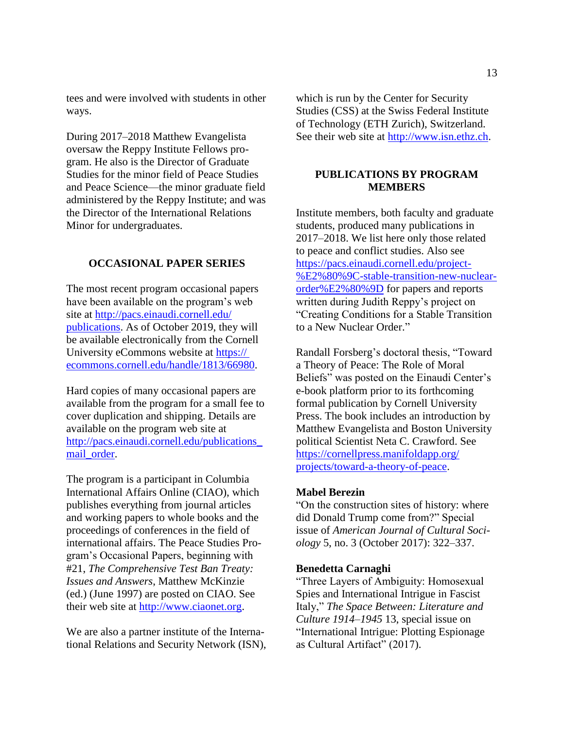tees and were involved with students in other ways.

During 2017–2018 Matthew Evangelista oversaw the Reppy Institute Fellows program. He also is the Director of Graduate Studies for the minor field of Peace Studies and Peace Science—the minor graduate field administered by the Reppy Institute; and was the Director of the International Relations Minor for undergraduates.

## <span id="page-13-0"></span>**OCCASIONAL PAPER SERIES**

The most recent program occasional papers have been available on the program's web site at [http://pacs.einaudi.cornell.edu/](http://pacs.einaudi.cornell.edu/publications) [publications.](http://pacs.einaudi.cornell.edu/publications) As of October 2019, they will be available electronically from the Cornell University eCommons website at https:// ecommons.cornell.edu/handle/1813/66980.

Hard copies of many occasional papers are available from the program for a small fee to cover duplication and shipping. Details are available on the program web site at [http://pacs.einaudi.cornell.edu/publications\\_](http://pacs.einaudi.cornell.edu/publications_mail_order) mail order.

The program is a participant in Columbia International Affairs Online (CIAO), which publishes everything from journal articles and working papers to whole books and the proceedings of conferences in the field of international affairs. The Peace Studies Program's Occasional Papers, beginning with #21, *The Comprehensive Test Ban Treaty: Issues and Answers*, Matthew McKinzie (ed.) (June 1997) are posted on CIAO. See their web site at [http://www.ciaonet.org.](http://www.ciaonet.org/)

We are also a partner institute of the International Relations and Security Network (ISN), which is run by the Center for Security Studies (CSS) at the Swiss Federal Institute of Technology (ETH Zurich), Switzerland. See their web site at [http://www.isn.ethz.ch.](http://www.isn.ethz.ch/)

## <span id="page-13-1"></span>**PUBLICATIONS BY PROGRAM MEMBERS**

Institute members, both faculty and graduate students, produced many publications in 2017–2018. We list here only those related to peace and conflict studies. Also see [https://pacs.einaudi.cornell.edu/project-](https://pacs.einaudi.cornell.edu/project-%E2%80%9C-stable-transition-new-nuclear-order%E2%80%9D) [%E2%80%9C-stable-transition-new-nuclear](https://pacs.einaudi.cornell.edu/project-%E2%80%9C-stable-transition-new-nuclear-order%E2%80%9D)[order%E2%80%9D](https://pacs.einaudi.cornell.edu/project-%E2%80%9C-stable-transition-new-nuclear-order%E2%80%9D) for papers and reports written during Judith Reppy's project on "Creating Conditions for a Stable Transition to a New Nuclear Order."

Randall Forsberg's doctoral thesis, "Toward a Theory of Peace: The Role of Moral Beliefs" was posted on the Einaudi Center's e-book platform prior to its forthcoming formal publication by Cornell University Press. The book includes an introduction by Matthew Evangelista and Boston University political Scientist Neta C. Crawford. See [https://cornellpress.manifoldapp.org/](https://cornellpress.manifoldapp.org/‌projects/toward-a-theory-of-peace) [projects/toward-a-theory-of-peace.](https://cornellpress.manifoldapp.org/‌projects/toward-a-theory-of-peace)

## **Mabel Berezin**

"On the construction sites of history: where did Donald Trump come from?" Special issue of *American Journal of Cultural Sociology* 5, no. 3 (October 2017): 322–337.

#### **Benedetta Carnaghi**

"Three Layers of Ambiguity: Homosexual Spies and International Intrigue in Fascist Italy," *The Space Between: Literature and Culture 1914–1945* 13, special issue on "International Intrigue: Plotting Espionage as Cultural Artifact" (2017).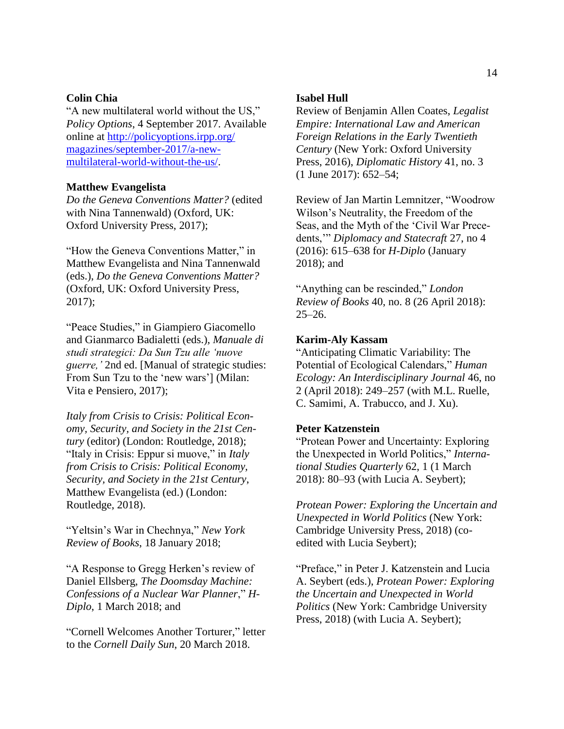## **Colin Chia**

"A new multilateral world without the US," *Policy Options*, 4 September 2017. Available online at [http://policyoptions.irpp.org/](http://policyoptions.irpp.org/magazines/september-2017/a-new-multilateral-world-without-the-us/) [magazines/september-2017/a-new](http://policyoptions.irpp.org/magazines/september-2017/a-new-multilateral-world-without-the-us/)[multilateral-world-without-the-us/.](http://policyoptions.irpp.org/magazines/september-2017/a-new-multilateral-world-without-the-us/)

## **Matthew Evangelista**

*Do the Geneva Conventions Matter?* (edited with Nina Tannenwald) (Oxford, UK: Oxford University Press, 2017);

"How the Geneva Conventions Matter," in Matthew Evangelista and Nina Tannenwald (eds.), *Do the Geneva Conventions Matter?* (Oxford, UK: Oxford University Press, 2017);

"Peace Studies," in Giampiero Giacomello and Gianmarco Badialetti (eds.), *Manuale di studi strategici: Da Sun Tzu alle 'nuove guerre,'* 2nd ed. [Manual of strategic studies: From Sun Tzu to the 'new wars'] (Milan: Vita e Pensiero, 2017);

*Italy from Crisis to Crisis: Political Economy, Security, and Society in the 21st Century* (editor) (London: Routledge, 2018); "Italy in Crisis: Eppur si muove," in *Italy from Crisis to Crisis: Political Economy, Security, and Society in the 21st Century*, Matthew Evangelista (ed.) (London: Routledge, 2018).

"Yeltsin's War in Chechnya," *New York Review of Books*, 18 January 2018;

"A Response to Gregg Herken's review of Daniel Ellsberg, *The Doomsday Machine: Confessions of a Nuclear War Planner*," *H-Diplo*, 1 March 2018; and

"Cornell Welcomes Another Torturer," letter to the *Cornell Daily Sun*, 20 March 2018.

## **Isabel Hull**

Review of Benjamin Allen Coates, *Legalist Empire: International Law and American Foreign Relations in the Early Twentieth Century* (New York: Oxford University Press, 2016), *Diplomatic History* 41, no. 3 (1 June 2017): 652–54;

Review of Jan Martin Lemnitzer, "Woodrow Wilson's Neutrality, the Freedom of the Seas, and the Myth of the 'Civil War Precedents,'" *Diplomacy and Statecraft* 27, no 4 (2016): 615–638 for *H-Diplo* (January 2018); and

"Anything can be rescinded," *London Review of Books* 40, no. 8 (26 April 2018): 25–26.

#### **Karim-Aly Kassam**

"Anticipating Climatic Variability: The Potential of Ecological Calendars," *Human Ecology: An Interdisciplinary Journal* 46, no 2 (April 2018): 249–257 (with M.L. Ruelle, C. Samimi, A. Trabucco, and J. Xu).

## **Peter Katzenstein**

"Protean Power and Uncertainty: Exploring the Unexpected in World Politics," *International Studies Quarterly* 62, 1 (1 March 2018): 80–93 (with Lucia A. Seybert);

*Protean Power: Exploring the Uncertain and Unexpected in World Politics* (New York: Cambridge University Press, 2018) (coedited with Lucia Seybert);

"Preface," in Peter J. Katzenstein and Lucia A. Seybert (eds.), *Protean Power: Exploring the Uncertain and Unexpected in World Politics* (New York: Cambridge University Press, 2018) (with Lucia A. Seybert);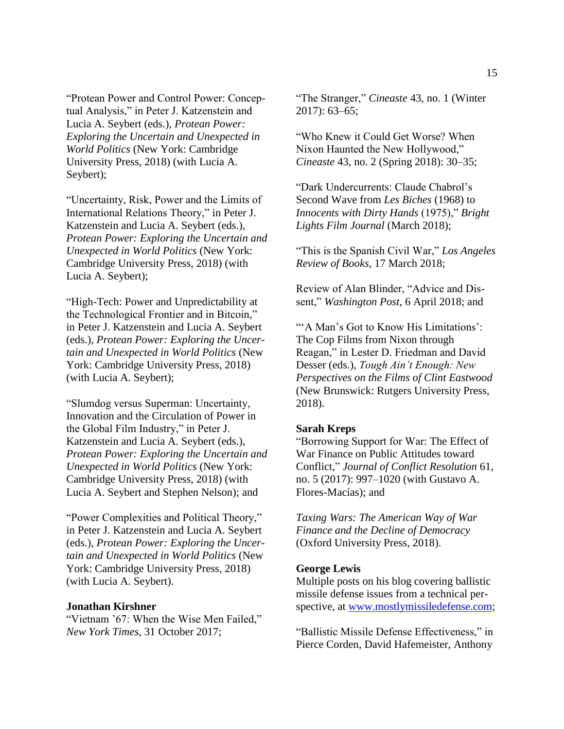"Protean Power and Control Power: Conceptual Analysis," in Peter J. Katzenstein and Lucia A. Seybert (eds.), *Protean Power: Exploring the Uncertain and Unexpected in World Politics* (New York: Cambridge University Press, 2018) (with Lucia A. Seybert);

"Uncertainty, Risk, Power and the Limits of International Relations Theory," in Peter J. Katzenstein and Lucia A. Seybert (eds.), *Protean Power: Exploring the Uncertain and Unexpected in World Politics* (New York: Cambridge University Press, 2018) (with Lucia A. Seybert);

"High-Tech: Power and Unpredictability at the Technological Frontier and in Bitcoin," in Peter J. Katzenstein and Lucia A. Seybert (eds.), *Protean Power: Exploring the Uncertain and Unexpected in World Politics* (New York: Cambridge University Press, 2018) (with Lucia A. Seybert);

"Slumdog versus Superman: Uncertainty, Innovation and the Circulation of Power in the Global Film Industry," in Peter J. Katzenstein and Lucia A. Seybert (eds.), *Protean Power: Exploring the Uncertain and Unexpected in World Politics* (New York: Cambridge University Press, 2018) (with Lucia A. Seybert and Stephen Nelson); and

"Power Complexities and Political Theory," in Peter J. Katzenstein and Lucia A. Seybert (eds.), *Protean Power: Exploring the Uncertain and Unexpected in World Politics* (New York: Cambridge University Press, 2018) (with Lucia A. Seybert).

#### **Jonathan Kirshner**

"Vietnam '67: When the Wise Men Failed," *New York Times*, 31 October 2017;

"The Stranger," *Cineaste* 43, no. 1 (Winter 2017): 63–65;

"Who Knew it Could Get Worse? When Nixon Haunted the New Hollywood," *Cineaste* 43, no. 2 (Spring 2018): 30–35;

"Dark Undercurrents: Claude Chabrol's Second Wave from *Les Biches* (1968) to *Innocents with Dirty Hands* (1975)," *Bright Lights Film Journal* (March 2018);

"This is the Spanish Civil War," *Los Angeles Review of Books*, 17 March 2018;

Review of Alan Blinder, "Advice and Dissent," *Washington Post*, 6 April 2018; and

"'A Man's Got to Know His Limitations': The Cop Films from Nixon through Reagan," in Lester D. Friedman and David Desser (eds.), *Tough Ain't Enough: New Perspectives on the Films of Clint Eastwood* (New Brunswick: Rutgers University Press, 2018).

#### **Sarah Kreps**

"Borrowing Support for War: The Effect of War Finance on Public Attitudes toward Conflict," *Journal of Conflict Resolution* 61, no. 5 (2017): 997–1020 (with Gustavo A. Flores-Macías); and

*Taxing Wars: The American Way of War Finance and the Decline of Democracy* (Oxford University Press, 2018).

#### **George Lewis**

Multiple posts on his blog covering ballistic missile defense issues from a technical perspective, at [www.mostlymissiledefense.com;](http://www.mostlymissiledefense.com/)

"Ballistic Missile Defense Effectiveness," in Pierce Corden, David Hafemeister, Anthony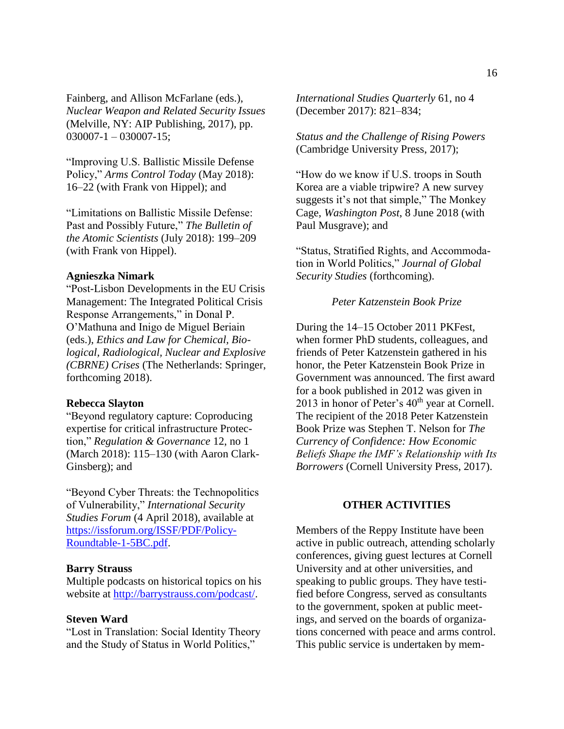Fainberg, and Allison McFarlane (eds.), *Nuclear Weapon and Related Security Issues* (Melville, NY: AIP Publishing, 2017), pp.  $030007 - 1 - 030007 - 15$ ;

"Improving U.S. Ballistic Missile Defense Policy," *Arms Control Today* (May 2018): 16–22 (with Frank von Hippel); and

"Limitations on Ballistic Missile Defense: Past and Possibly Future," *The Bulletin of the Atomic Scientists* (July 2018): 199–209 (with Frank von Hippel).

## **Agnieszka Nimark**

"Post-Lisbon Developments in the EU Crisis Management: The Integrated Political Crisis Response Arrangements," in Donal P. O'Mathuna and Inigo de Miguel Beriain (eds.), *Ethics and Law for Chemical, Biological, Radiological, Nuclear and Explosive (CBRNE) Crises* (The Netherlands: Springer, forthcoming 2018).

#### **Rebecca Slayton**

"Beyond regulatory capture: Coproducing expertise for critical infrastructure Protection," *Regulation & Governance* 12, no 1 (March 2018): 115–130 (with Aaron Clark-Ginsberg); and

"Beyond Cyber Threats: the Technopolitics of Vulnerability," *International Security Studies Forum* (4 April 2018), available at [https://issforum.org/ISSF/PDF/Policy-](https://issforum.org/ISSF/PDF/Policy-Roundtable-1-5BC.pdf)[Roundtable-1-5BC.pdf.](https://issforum.org/ISSF/PDF/Policy-Roundtable-1-5BC.pdf)

#### **Barry Strauss**

Multiple podcasts on historical topics on his website at [http://barrystrauss.com/podcast/.](http://barrystrauss.com/podcast/)

#### **Steven Ward**

"Lost in Translation: Social Identity Theory and the Study of Status in World Politics,"

*International Studies Quarterly* 61, no 4 (December 2017): 821–834;

*Status and the Challenge of Rising Powers* (Cambridge University Press, 2017);

"How do we know if U.S. troops in South Korea are a viable tripwire? A new survey suggests it's not that simple," The Monkey Cage, *Washington Post*, 8 June 2018 (with Paul Musgrave); and

"Status, Stratified Rights, and Accommodation in World Politics," *Journal of Global Security Studies* (forthcoming).

#### *Peter Katzenstein Book Prize*

<span id="page-16-0"></span>During the 14–15 October 2011 PKFest, when former PhD students, colleagues, and friends of Peter Katzenstein gathered in his honor, the Peter Katzenstein Book Prize in Government was announced. The first award for a book published in 2012 was given in 2013 in honor of Peter's  $40<sup>th</sup>$  year at Cornell. The recipient of the 2018 Peter Katzenstein Book Prize was Stephen T. Nelson for *The Currency of Confidence: How Economic Beliefs Shape the IMF's Relationship with Its Borrowers* (Cornell University Press, 2017).

#### **OTHER ACTIVITIES**

<span id="page-16-1"></span>Members of the Reppy Institute have been active in public outreach, attending scholarly conferences, giving guest lectures at Cornell University and at other universities, and speaking to public groups. They have testified before Congress, served as consultants to the government, spoken at public meetings, and served on the boards of organizations concerned with peace and arms control. This public service is undertaken by mem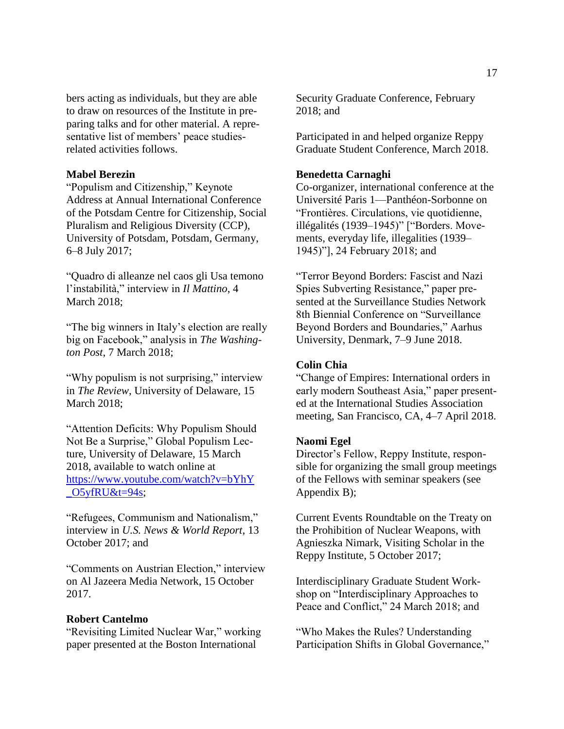bers acting as individuals, but they are able to draw on resources of the Institute in preparing talks and for other material. A representative list of members' peace studiesrelated activities follows.

## **Mabel Berezin**

"Populism and Citizenship," Keynote Address at Annual International Conference of the Potsdam Centre for Citizenship, Social Pluralism and Religious Diversity (CCP), University of Potsdam, Potsdam, Germany, 6–8 July 2017;

"Quadro di alleanze nel caos gli Usa temono l'instabilità," interview in *Il Mattino*, 4 March 2018;

"The big winners in Italy's election are really big on Facebook," analysis in *The Washington Post*, 7 March 2018;

"Why populism is not surprising," interview in *The Review*, University of Delaware, 15 March 2018;

"Attention Deficits: Why Populism Should Not Be a Surprise," Global Populism Lecture, University of Delaware, 15 March 2018, available to watch online at [https://www.youtube.com/watch?v=bYhY](https://www.youtube.com/watch?v=bYhY_O5yfRU&t=94s) O5yfRU&t=94s;

"Refugees, Communism and Nationalism," interview in *U.S. News & World Report*, 13 October 2017; and

"Comments on Austrian Election," interview on Al Jazeera Media Network, 15 October 2017.

#### **Robert Cantelmo**

"Revisiting Limited Nuclear War," working paper presented at the Boston International

Security Graduate Conference, February 2018; and

Participated in and helped organize Reppy Graduate Student Conference, March 2018.

## **Benedetta Carnaghi**

Co-organizer, international conference at the Université Paris 1—Panthéon-Sorbonne on "Frontières. Circulations, vie quotidienne, illégalités (1939–1945)" ["Borders. Movements, everyday life, illegalities (1939– 1945)"], 24 February 2018; and

"Terror Beyond Borders: Fascist and Nazi Spies Subverting Resistance," paper presented at the Surveillance Studies Network 8th Biennial Conference on "Surveillance Beyond Borders and Boundaries," Aarhus University, Denmark, 7–9 June 2018.

## **Colin Chia**

"Change of Empires: International orders in early modern Southeast Asia," paper presented at the International Studies Association meeting, San Francisco, CA, 4–7 April 2018.

#### **Naomi Egel**

Director's Fellow, Reppy Institute, responsible for organizing the small group meetings of the Fellows with seminar speakers (see Appendix B);

Current Events Roundtable on the Treaty on the Prohibition of Nuclear Weapons, with Agnieszka Nimark, Visiting Scholar in the Reppy Institute, 5 October 2017;

Interdisciplinary Graduate Student Workshop on "Interdisciplinary Approaches to Peace and Conflict," 24 March 2018; and

"Who Makes the Rules? Understanding Participation Shifts in Global Governance,"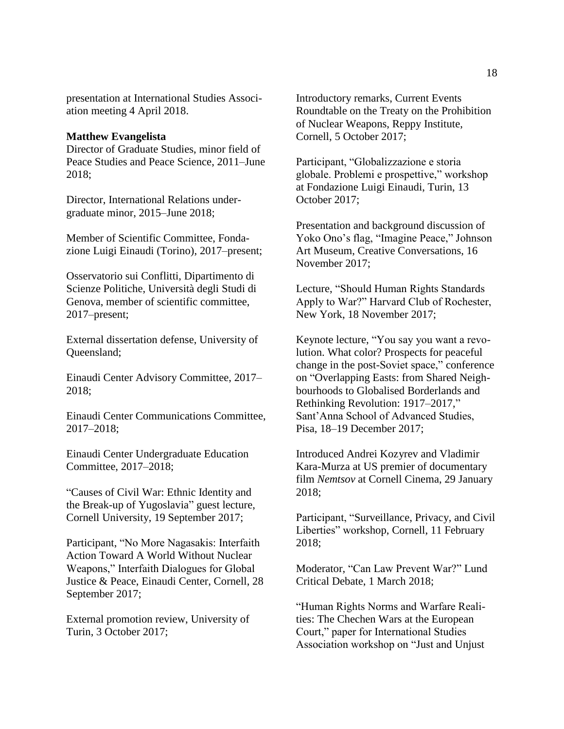presentation at International Studies Association meeting 4 April 2018.

### **Matthew Evangelista**

Director of Graduate Studies, minor field of Peace Studies and Peace Science, 2011–June 2018;

Director, International Relations undergraduate minor, 2015–June 2018;

Member of Scientific Committee, Fondazione Luigi Einaudi (Torino), 2017–present;

Osservatorio sui Conflitti, Dipartimento di Scienze Politiche, Università degli Studi di Genova, member of scientific committee, 2017–present;

External dissertation defense, University of Queensland;

Einaudi Center Advisory Committee, 2017– 2018;

Einaudi Center Communications Committee, 2017–2018;

Einaudi Center Undergraduate Education Committee, 2017–2018;

"Causes of Civil War: Ethnic Identity and the Break-up of Yugoslavia" guest lecture, Cornell University, 19 September 2017;

Participant, "No More Nagasakis: Interfaith Action Toward A World Without Nuclear Weapons," Interfaith Dialogues for Global Justice & Peace, Einaudi Center, Cornell, 28 September 2017;

External promotion review, University of Turin, 3 October 2017;

Introductory remarks, Current Events Roundtable on the Treaty on the Prohibition of Nuclear Weapons, Reppy Institute, Cornell, 5 October 2017;

Participant, "Globalizzazione e storia globale. Problemi e prospettive," workshop at Fondazione Luigi Einaudi, Turin, 13 October 2017;

Presentation and background discussion of Yoko Ono's flag, "Imagine Peace," Johnson Art Museum, Creative Conversations, 16 November 2017;

Lecture, "Should Human Rights Standards Apply to War?" Harvard Club of Rochester, New York, 18 November 2017;

Keynote lecture, "You say you want a revolution. What color? Prospects for peaceful change in the post-Soviet space," conference on "Overlapping Easts: from Shared Neighbourhoods to Globalised Borderlands and Rethinking Revolution: 1917–2017," Sant'Anna School of Advanced Studies, Pisa, 18–19 December 2017;

Introduced Andrei Kozyrev and Vladimir Kara-Murza at US premier of documentary film *Nemtsov* at Cornell Cinema, 29 January 2018;

Participant, "Surveillance, Privacy, and Civil Liberties" workshop, Cornell, 11 February 2018;

Moderator, "Can Law Prevent War?" Lund Critical Debate, 1 March 2018;

"Human Rights Norms and Warfare Realities: The Chechen Wars at the European Court," paper for International Studies Association workshop on "Just and Unjust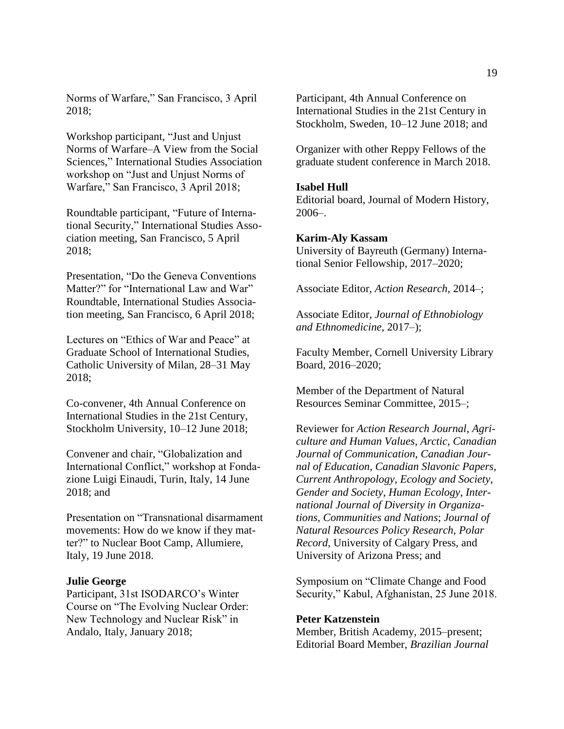Norms of Warfare," San Francisco, 3 April 2018;

Workshop participant, "Just and Unjust Norms of Warfare–A View from the Social Sciences," International Studies Association workshop on "Just and Unjust Norms of Warfare," San Francisco, 3 April 2018;

Roundtable participant, "Future of International Security," International Studies Association meeting, San Francisco, 5 April 2018;

Presentation, "Do the Geneva Conventions Matter?" for "International Law and War" Roundtable, International Studies Association meeting, San Francisco, 6 April 2018;

Lectures on "Ethics of War and Peace" at Graduate School of International Studies, Catholic University of Milan, 28–31 May 2018;

Co-convener, 4th Annual Conference on International Studies in the 21st Century, Stockholm University, 10–12 June 2018;

Convener and chair, "Globalization and International Conflict," workshop at Fondazione Luigi Einaudi, Turin, Italy, 14 June 2018; and

Presentation on "Transnational disarmament movements: How do we know if they matter?" to Nuclear Boot Camp, Allumiere, Italy, 19 June 2018.

#### **Julie George**

Participant, 31st ISODARCO's Winter Course on "The Evolving Nuclear Order: New Technology and Nuclear Risk" in Andalo, Italy, January 2018;

Participant, 4th Annual Conference on International Studies in the 21st Century in Stockholm, Sweden, 10–12 June 2018; and

Organizer with other Reppy Fellows of the graduate student conference in March 2018.

#### **Isabel Hull**

Editorial board, Journal of Modern History, 2006–.

#### **Karim-Aly Kassam**

University of Bayreuth (Germany) International Senior Fellowship, 2017–2020;

Associate Editor, *Action Research*, 2014–;

Associate Editor, *Journal of Ethnobiology and Ethnomedicine*, 2017–);

Faculty Member, Cornell University Library Board, 2016–2020;

Member of the Department of Natural Resources Seminar Committee, 2015–;

Reviewer for *Action Research Journal*, *Agriculture and Human Values*, *Arctic*, *Canadian Journal of Communication*, *Canadian Journal of Education*, *Canadian Slavonic Papers*, *Current Anthropology*, *Ecology and Society*, *Gender and Society*, *Human Ecology*, *International Journal of Diversity in Organizations, Communities and Nations*; *Journal of Natural Resources Policy Research*, *Polar Record*, University of Calgary Press, and University of Arizona Press; and

Symposium on "Climate Change and Food Security," Kabul, Afghanistan, 25 June 2018.

#### **Peter Katzenstein**

Member, British Academy, 2015–present; Editorial Board Member, *Brazilian Journal*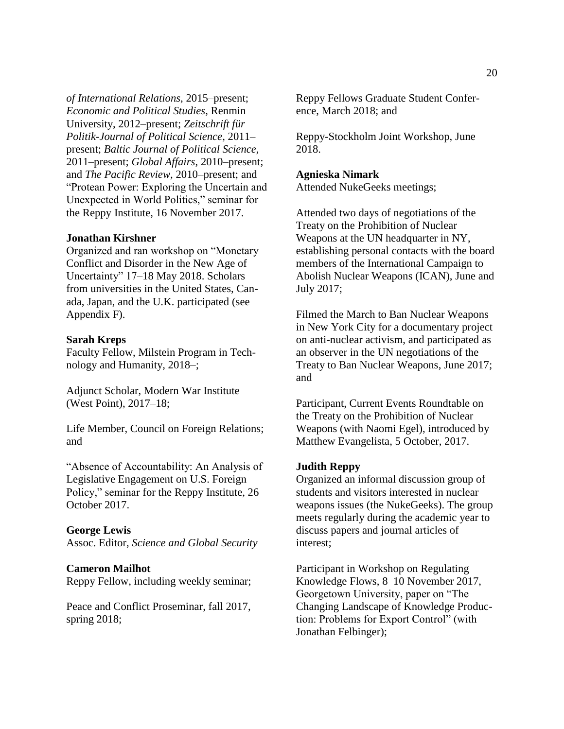*of International Relations*, 2015–present; *Economic and Political Studies*, Renmin University, 2012–present; *Zeitschrift für Politik-Journal of Political Science,* 2011– present; *Baltic Journal of Political Science,* 2011–present; *Global Affairs*, 2010–present; and *The Pacific Review,* 2010–present; and "Protean Power: Exploring the Uncertain and Unexpected in World Politics," seminar for the Reppy Institute, 16 November 2017.

#### **Jonathan Kirshner**

Organized and ran workshop on "Monetary Conflict and Disorder in the New Age of Uncertainty" 17–18 May 2018. Scholars from universities in the United States, Canada, Japan, and the U.K. participated (see Appendix F).

## **Sarah Kreps**

Faculty Fellow, Milstein Program in Technology and Humanity, 2018–;

Adjunct Scholar, Modern War Institute (West Point), 2017–18;

Life Member, Council on Foreign Relations; and

"Absence of Accountability: An Analysis of Legislative Engagement on U.S. Foreign Policy," seminar for the Reppy Institute, 26 October 2017.

#### **George Lewis**

Assoc. Editor, *Science and Global Security*

#### **Cameron Mailhot**

Reppy Fellow, including weekly seminar;

Peace and Conflict Proseminar, fall 2017, spring 2018;

Reppy Fellows Graduate Student Conference, March 2018; and

Reppy-Stockholm Joint Workshop, June 2018.

#### **Agnieska Nimark**

Attended NukeGeeks meetings;

Attended two days of negotiations of the Treaty on the Prohibition of Nuclear Weapons at the UN headquarter in NY, establishing personal contacts with the board members of the International Campaign to Abolish Nuclear Weapons (ICAN), June and July 2017;

Filmed the March to Ban Nuclear Weapons in New York City for a documentary project on anti-nuclear activism, and participated as an observer in the UN negotiations of the Treaty to Ban Nuclear Weapons, June 2017; and

Participant, Current Events Roundtable on the Treaty on the Prohibition of Nuclear Weapons (with Naomi Egel), introduced by Matthew Evangelista, 5 October, 2017.

#### **Judith Reppy**

Organized an informal discussion group of students and visitors interested in nuclear weapons issues (the NukeGeeks). The group meets regularly during the academic year to discuss papers and journal articles of interest;

Participant in Workshop on Regulating Knowledge Flows, 8–10 November 2017, Georgetown University, paper on "The Changing Landscape of Knowledge Production: Problems for Export Control" (with Jonathan Felbinger);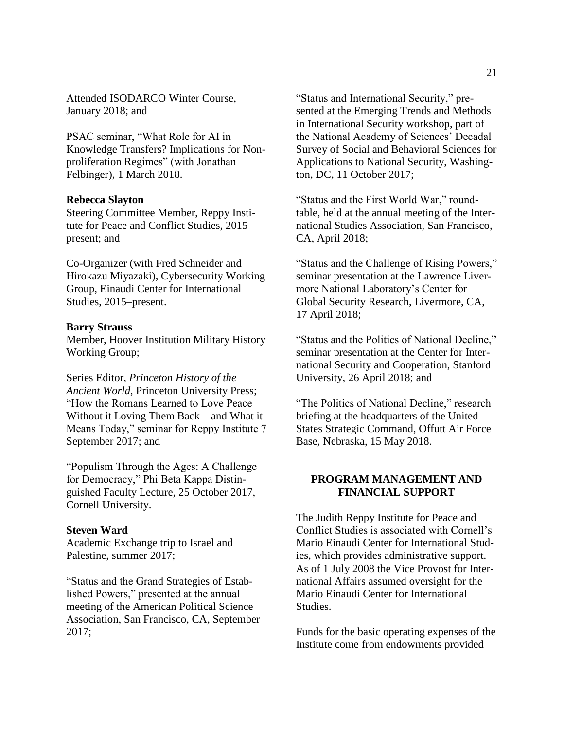Attended ISODARCO Winter Course, January 2018; and

PSAC seminar, "What Role for AI in Knowledge Transfers? Implications for Nonproliferation Regimes" (with Jonathan Felbinger), 1 March 2018.

#### **Rebecca Slayton**

Steering Committee Member, Reppy Institute for Peace and Conflict Studies, 2015– present; and

Co-Organizer (with Fred Schneider and Hirokazu Miyazaki), Cybersecurity Working Group, Einaudi Center for International Studies, 2015–present.

#### **Barry Strauss**

Member, Hoover Institution Military History Working Group;

Series Editor, *Princeton History of the Ancient World*, Princeton University Press; "How the Romans Learned to Love Peace Without it Loving Them Back—and What it Means Today," seminar for Reppy Institute 7 September 2017; and

"Populism Through the Ages: A Challenge for Democracy," Phi Beta Kappa Distinguished Faculty Lecture, 25 October 2017, Cornell University.

#### **Steven Ward**

Academic Exchange trip to Israel and Palestine, summer 2017;

"Status and the Grand Strategies of Established Powers," presented at the annual meeting of the American Political Science Association, San Francisco, CA, September 2017;

"Status and International Security," presented at the Emerging Trends and Methods in International Security workshop, part of the National Academy of Sciences' Decadal Survey of Social and Behavioral Sciences for Applications to National Security, Washington, DC, 11 October 2017;

"Status and the First World War," roundtable, held at the annual meeting of the International Studies Association, San Francisco, CA, April 2018;

"Status and the Challenge of Rising Powers," seminar presentation at the Lawrence Livermore National Laboratory's Center for Global Security Research, Livermore, CA, 17 April 2018;

"Status and the Politics of National Decline," seminar presentation at the Center for International Security and Cooperation, Stanford University, 26 April 2018; and

"The Politics of National Decline," research briefing at the headquarters of the United States Strategic Command, Offutt Air Force Base, Nebraska, 15 May 2018.

## <span id="page-21-0"></span>**PROGRAM MANAGEMENT AND FINANCIAL SUPPORT**

The Judith Reppy Institute for Peace and Conflict Studies is associated with Cornell's Mario Einaudi Center for International Studies, which provides administrative support. As of 1 July 2008 the Vice Provost for International Affairs assumed oversight for the Mario Einaudi Center for International Studies.

Funds for the basic operating expenses of the Institute come from endowments provided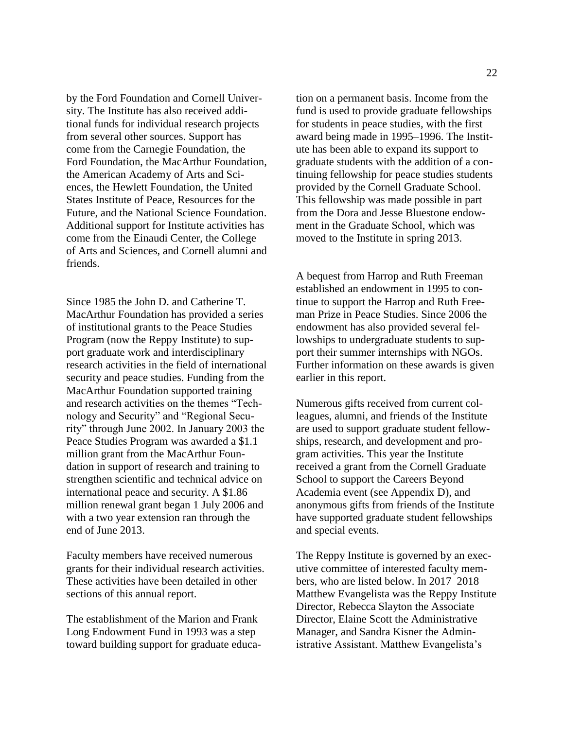by the Ford Foundation and Cornell University. The Institute has also received additional funds for individual research projects from several other sources. Support has come from the Carnegie Foundation, the Ford Foundation, the MacArthur Foundation, the American Academy of Arts and Sciences, the Hewlett Foundation, the United States Institute of Peace, Resources for the Future, and the National Science Foundation. Additional support for Institute activities has come from the Einaudi Center, the College of Arts and Sciences, and Cornell alumni and friends.

Since 1985 the John D. and Catherine T. MacArthur Foundation has provided a series of institutional grants to the Peace Studies Program (now the Reppy Institute) to support graduate work and interdisciplinary research activities in the field of international security and peace studies. Funding from the MacArthur Foundation supported training and research activities on the themes "Technology and Security" and "Regional Security" through June 2002. In January 2003 the Peace Studies Program was awarded a \$1.1 million grant from the MacArthur Foundation in support of research and training to strengthen scientific and technical advice on international peace and security. A \$1.86 million renewal grant began 1 July 2006 and with a two year extension ran through the end of June 2013.

Faculty members have received numerous grants for their individual research activities. These activities have been detailed in other sections of this annual report.

The establishment of the Marion and Frank Long Endowment Fund in 1993 was a step toward building support for graduate education on a permanent basis. Income from the fund is used to provide graduate fellowships for students in peace studies, with the first award being made in 1995–1996. The Institute has been able to expand its support to graduate students with the addition of a continuing fellowship for peace studies students provided by the Cornell Graduate School. This fellowship was made possible in part from the Dora and Jesse Bluestone endowment in the Graduate School, which was moved to the Institute in spring 2013.

A bequest from Harrop and Ruth Freeman established an endowment in 1995 to continue to support the Harrop and Ruth Freeman Prize in Peace Studies. Since 2006 the endowment has also provided several fellowships to undergraduate students to support their summer internships with NGOs. Further information on these awards is given earlier in this report.

Numerous gifts received from current colleagues, alumni, and friends of the Institute are used to support graduate student fellowships, research, and development and program activities. This year the Institute received a grant from the Cornell Graduate School to support the Careers Beyond Academia event (see Appendix D), and anonymous gifts from friends of the Institute have supported graduate student fellowships and special events.

The Reppy Institute is governed by an executive committee of interested faculty members, who are listed below. In 2017–2018 Matthew Evangelista was the Reppy Institute Director, Rebecca Slayton the Associate Director, Elaine Scott the Administrative Manager, and Sandra Kisner the Administrative Assistant. Matthew Evangelista's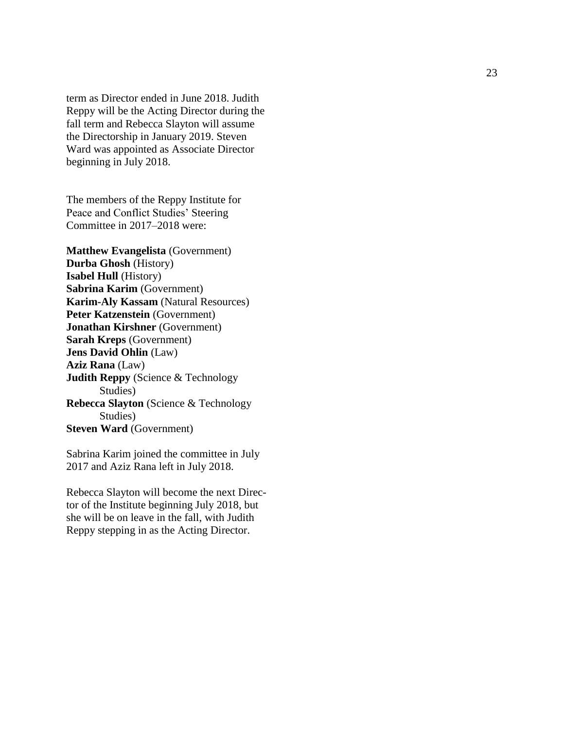term as Director ended in June 2018. Judith Reppy will be the Acting Director during the fall term and Rebecca Slayton will assume the Directorship in January 2019. Steven Ward was appointed as Associate Director beginning in July 2018.

The members of the Reppy Institute for Peace and Conflict Studies' Steering Committee in 201 7 –201 8 were:

**Matthew Evangelista** (Government) **Durba Ghosh** (History) **Isabel Hull** (History) **Sabrina Karim** (Government) **Karim -Aly Kassam** (Natural Resources) **Peter Katzenstein** (Government) **Jonathan Kirshner** (Government) **Sarah Kreps** (Government) **Jens David Ohlin** (Law) **Aziz Rana** (Law) **Judith Reppy** (Science & Technology Studies) **Rebecca Slayton** (Science & Technology Studies) **Steven Ward** (Government)

Sabrina Karim joined the committee in July 2017 and Azi z Rana left in July 2018.

Rebecca Slayton will become the next Direc tor of the Institute beginning July 2018, but she will be on leave in the fall , with Judith Reppy stepping in as the Acting Director.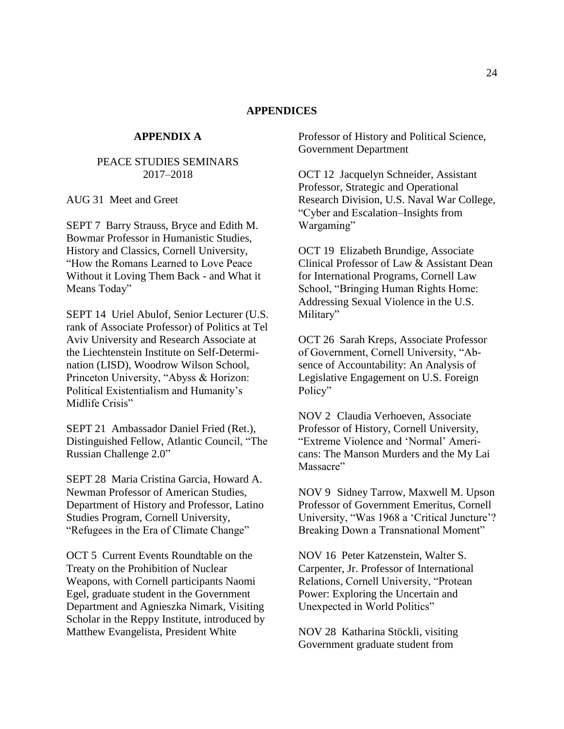## **APPENDICES**

## **APPENDIX A**

## <span id="page-24-0"></span>PEACE STUDIES SEMINARS 2017–2018

AUG 31 Meet and Greet

SEPT 7 Barry Strauss, Bryce and Edith M. Bowmar Professor in Humanistic Studies, History and Classics, Cornell University, "How the Romans Learned to Love Peace Without it Loving Them Back - and What it Means Today"

SEPT 14 Uriel Abulof, Senior Lecturer (U.S. rank of Associate Professor) of Politics at Tel Aviv University and Research Associate at the Liechtenstein Institute on Self-Determination (LISD), Woodrow Wilson School, Princeton University, "Abyss & Horizon: Political Existentialism and Humanity's Midlife Crisis"

SEPT 21 Ambassador Daniel Fried (Ret.), Distinguished Fellow, Atlantic Council, "The Russian Challenge 2.0"

SEPT 28 Maria Cristina Garcia, Howard A. Newman Professor of American Studies, Department of History and Professor, Latino Studies Program, Cornell University, "Refugees in the Era of Climate Change"

OCT 5 Current Events Roundtable on the Treaty on the Prohibition of Nuclear Weapons, with Cornell participants Naomi Egel, graduate student in the Government Department and Agnieszka Nimark, Visiting Scholar in the Reppy Institute, introduced by Matthew Evangelista, President White

Professor of History and Political Science, Government Department

OCT 12 Jacquelyn Schneider, Assistant Professor, Strategic and Operational Research Division, U.S. Naval War College, "Cyber and Escalation–Insights from Wargaming"

OCT 19 Elizabeth Brundige, Associate Clinical Professor of Law & Assistant Dean for International Programs, Cornell Law School, "Bringing Human Rights Home: Addressing Sexual Violence in the U.S. Military"

OCT 26 Sarah Kreps, Associate Professor of Government, Cornell University, "Absence of Accountability: An Analysis of Legislative Engagement on U.S. Foreign Policy"

NOV 2 Claudia Verhoeven, Associate Professor of History, Cornell University, "Extreme Violence and 'Normal' Americans: The Manson Murders and the My Lai Massacre"

NOV 9 Sidney Tarrow, Maxwell M. Upson Professor of Government Emeritus, Cornell University, "Was 1968 a 'Critical Juncture'? Breaking Down a Transnational Moment"

NOV 16 Peter Katzenstein, Walter S. Carpenter, Jr. Professor of International Relations, Cornell University, "Protean Power: Exploring the Uncertain and Unexpected in World Politics"

NOV 28 Katharina Stöckli, visiting Government graduate student from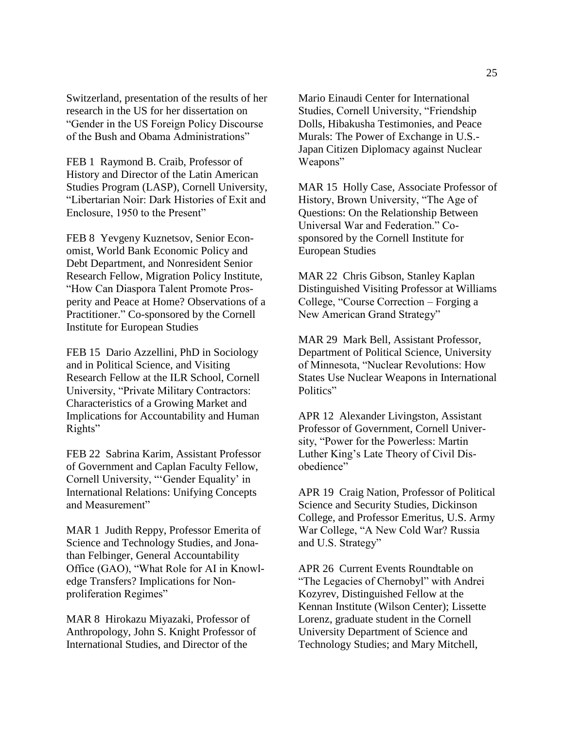Switzerland, presentation of the results of her research in the US for her dissertation on "Gender in the US Foreign Policy Discourse of the Bush and Obama Administrations"

FEB 1 Raymond B. Craib, Professor of History and Director of the Latin American Studies Program (LASP), Cornell University, "Libertarian Noir: Dark Histories of Exit and Enclosure, 1950 to the Present"

FEB 8 Yevgeny Kuznetsov, Senior Economist, World Bank Economic Policy and Debt Department, and Nonresident Senior Research Fellow, Migration Policy Institute, "How Can Diaspora Talent Promote Prosperity and Peace at Home? Observations of a Practitioner." Co-sponsored by the Cornell Institute for European Studies

FEB 15 Dario Azzellini, PhD in Sociology and in Political Science, and Visiting Research Fellow at the ILR School, Cornell University, "Private Military Contractors: Characteristics of a Growing Market and Implications for Accountability and Human Rights"

FEB 22 Sabrina Karim, Assistant Professor of Government and Caplan Faculty Fellow, Cornell University, "'Gender Equality' in International Relations: Unifying Concepts and Measurement"

MAR 1 Judith Reppy, Professor Emerita of Science and Technology Studies, and Jonathan Felbinger, General Accountability Office (GAO), "What Role for AI in Knowledge Transfers? Implications for Nonproliferation Regimes"

MAR 8 Hirokazu Miyazaki, Professor of Anthropology, John S. Knight Professor of International Studies, and Director of the

Mario Einaudi Center for International Studies, Cornell University, "Friendship Dolls, Hibakusha Testimonies, and Peace Murals: The Power of Exchange in U.S.- Japan Citizen Diplomacy against Nuclear Weapons"

MAR 15 Holly Case, Associate Professor of History, Brown University, "The Age of Questions: On the Relationship Between Universal War and Federation." Cosponsored by the Cornell Institute for European Studies

MAR 22 Chris Gibson, Stanley Kaplan Distinguished Visiting Professor at Williams College, "Course Correction – Forging a New American Grand Strategy"

MAR 29 Mark Bell, Assistant Professor, Department of Political Science, University of Minnesota, "Nuclear Revolutions: How States Use Nuclear Weapons in International Politics"

APR 12 Alexander Livingston, Assistant Professor of Government, Cornell University, "Power for the Powerless: Martin Luther King's Late Theory of Civil Disobedience"

APR 19 Craig Nation, Professor of Political Science and Security Studies, Dickinson College, and Professor Emeritus, U.S. Army War College, "A New Cold War? Russia and U.S. Strategy"

APR 26 Current Events Roundtable on "The Legacies of Chernobyl" with Andrei Kozyrev, Distinguished Fellow at the Kennan Institute (Wilson Center); Lissette Lorenz, graduate student in the Cornell University Department of Science and Technology Studies; and Mary Mitchell,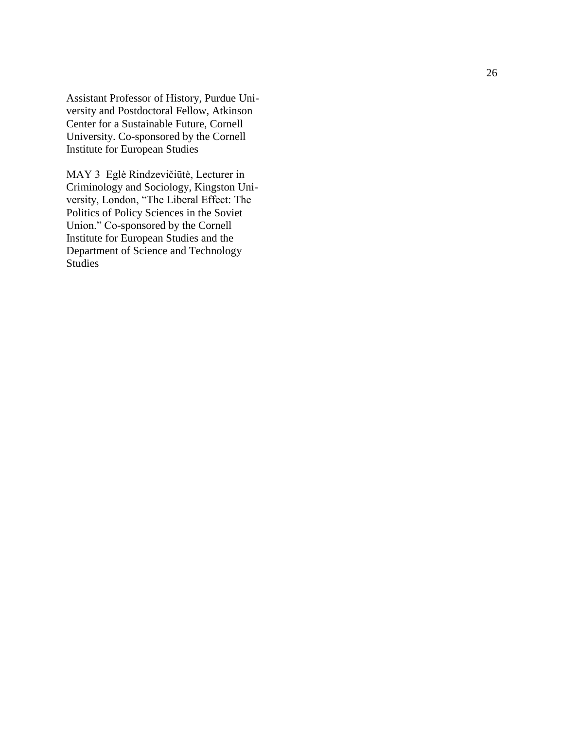Assistant Professor of History, Purdue Uni versity and Postdoctoral Fellow, Atkinson Center for a Sustainable Future, Cornell University. Co -sponsored by the Cornell Institute for European Studies

MAY 3 Eglė Rindzevičiūtė, Lecturer in Criminology and Sociology, Kingston Uni versity, London, "The Liberal Effect: The Politics of Policy Sciences in the Soviet Union." Co -sponsored by the Cornell Institute for European Studies and the Department of Science and Technology Studies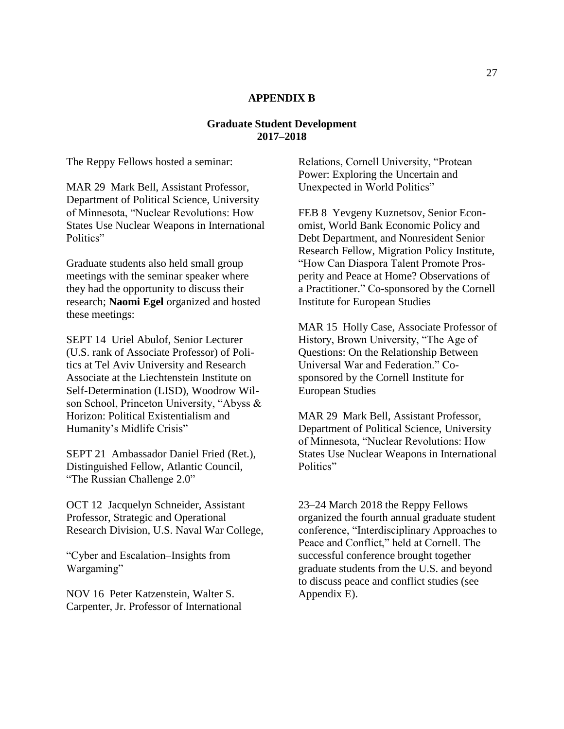## **APPENDIX B**

## **Graduate Student Development 2017–2018**

The Reppy Fellows hosted a seminar:

MAR 29 Mark Bell, Assistant Professor, Department of Political Science, University of Minnesota, "Nuclear Revolutions: How States Use Nuclear Weapons in International Politics"

Graduate students also held small group meetings with the seminar speaker where they had the opportunity to discuss their research; **Naomi Egel** organized and hosted these meetings:

SEPT 14 Uriel Abulof, Senior Lecturer (U.S. rank of Associate Professor) of Politics at Tel Aviv University and Research Associate at the Liechtenstein Institute on Self-Determination (LISD), Woodrow Wilson School, Princeton University, "Abyss & Horizon: Political Existentialism and Humanity's Midlife Crisis"

SEPT 21 Ambassador Daniel Fried (Ret.), Distinguished Fellow, Atlantic Council, "The Russian Challenge 2.0"

OCT 12 Jacquelyn Schneider, Assistant Professor, Strategic and Operational Research Division, U.S. Naval War College,

"Cyber and Escalation–Insights from Wargaming"

NOV 16 Peter Katzenstein, Walter S. Carpenter, Jr. Professor of International Relations, Cornell University, "Protean Power: Exploring the Uncertain and Unexpected in World Politics"

FEB 8 Yevgeny Kuznetsov, Senior Economist, World Bank Economic Policy and Debt Department, and Nonresident Senior Research Fellow, Migration Policy Institute, "How Can Diaspora Talent Promote Prosperity and Peace at Home? Observations of a Practitioner." Co-sponsored by the Cornell Institute for European Studies

MAR 15 Holly Case, Associate Professor of History, Brown University, "The Age of Questions: On the Relationship Between Universal War and Federation." Cosponsored by the Cornell Institute for European Studies

MAR 29 Mark Bell, Assistant Professor, Department of Political Science, University of Minnesota, "Nuclear Revolutions: How States Use Nuclear Weapons in International Politics"

23–24 March 2018 the Reppy Fellows organized the fourth annual graduate student conference, "Interdisciplinary Approaches to Peace and Conflict," held at Cornell. The successful conference brought together graduate students from the U.S. and beyond to discuss peace and conflict studies (see Appendix E).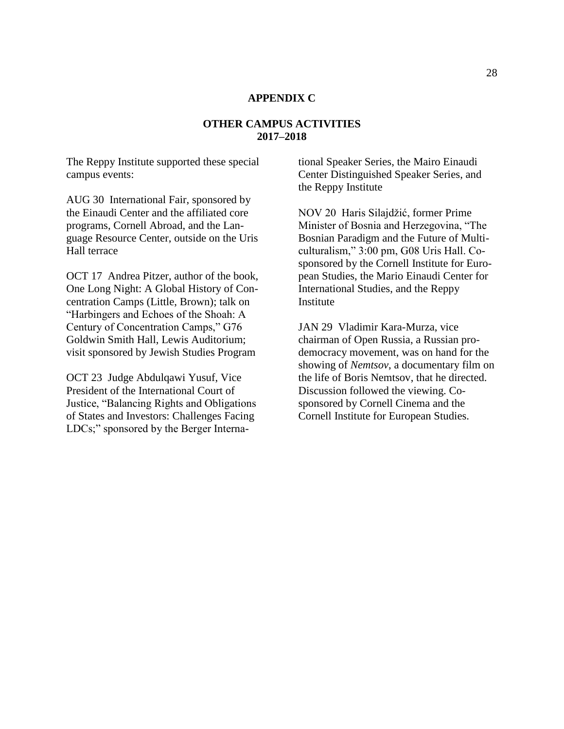## **APPENDIX C**

## **OTHER CAMPUS ACTIVITIES 2017–2018**

The Reppy Institute supported these special campus events:

AUG 30 International Fair, sponsored by the Einaudi Center and the affiliated core programs, Cornell Abroad, and the Language Resource Center, outside on the Uris Hall terrace

OCT 17 Andrea Pitzer, author of the book, One Long Night: A Global History of Concentration Camps (Little, Brown); talk on "Harbingers and Echoes of the Shoah: A Century of Concentration Camps," G76 Goldwin Smith Hall, Lewis Auditorium; visit sponsored by Jewish Studies Program

OCT 23 Judge Abdulqawi Yusuf, Vice President of the International Court of Justice, "Balancing Rights and Obligations of States and Investors: Challenges Facing LDCs;" sponsored by the Berger International Speaker Series, the Mairo Einaudi Center Distinguished Speaker Series, and the Reppy Institute

NOV 20 Haris Silajdžić, former Prime Minister of Bosnia and Herzegovina, "The Bosnian Paradigm and the Future of Multiculturalism," 3:00 pm, G08 Uris Hall. Cosponsored by the Cornell Institute for European Studies, the Mario Einaudi Center for International Studies, and the Reppy **Institute** 

JAN 29 Vladimir Kara-Murza, vice chairman of Open Russia, a Russian prodemocracy movement, was on hand for the showing of *Nemtsov*, a documentary film on the life of Boris Nemtsov, that he directed. Discussion followed the viewing. Cosponsored by Cornell Cinema and the Cornell Institute for European Studies.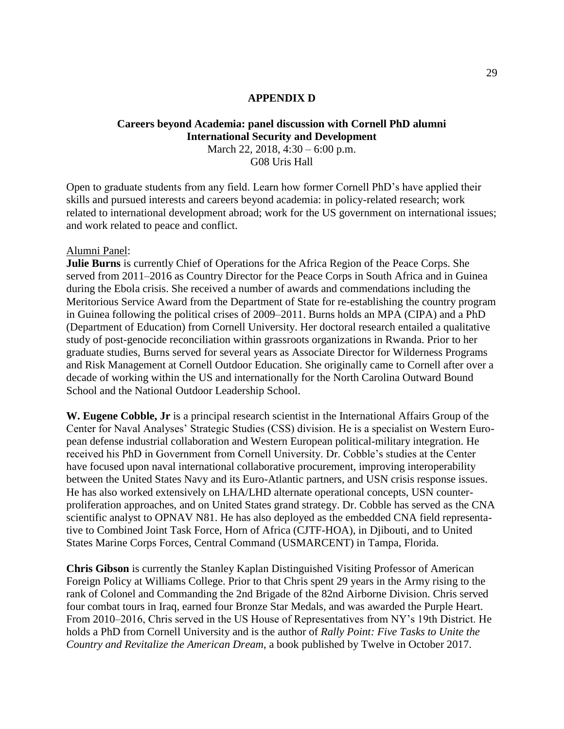## **APPENDIX D**

## **Careers beyond Academia: panel discussion with Cornell PhD alumni International Security and Development** March 22, 2018, 4:30 – 6:00 p.m.

G08 Uris Hall

Open to graduate students from any field. Learn how former Cornell PhD's have applied their skills and pursued interests and careers beyond academia: in policy-related research; work related to international development abroad; work for the US government on international issues; and work related to peace and conflict.

#### Alumni Panel:

**Julie Burns** is currently Chief of Operations for the Africa Region of the Peace Corps. She served from 2011–2016 as Country Director for the Peace Corps in South Africa and in Guinea during the Ebola crisis. She received a number of awards and commendations including the Meritorious Service Award from the Department of State for re-establishing the country program in Guinea following the political crises of 2009–2011. Burns holds an MPA (CIPA) and a PhD (Department of Education) from Cornell University. Her doctoral research entailed a qualitative study of post-genocide reconciliation within grassroots organizations in Rwanda. Prior to her graduate studies, Burns served for several years as Associate Director for Wilderness Programs and Risk Management at Cornell Outdoor Education. She originally came to Cornell after over a decade of working within the US and internationally for the North Carolina Outward Bound School and the National Outdoor Leadership School.

**W. Eugene Cobble, Jr** is a principal research scientist in the International Affairs Group of the Center for Naval Analyses' Strategic Studies (CSS) division. He is a specialist on Western European defense industrial collaboration and Western European political-military integration. He received his PhD in Government from Cornell University. Dr. Cobble's studies at the Center have focused upon naval international collaborative procurement, improving interoperability between the United States Navy and its Euro-Atlantic partners, and USN crisis response issues. He has also worked extensively on LHA/LHD alternate operational concepts, USN counterproliferation approaches, and on United States grand strategy. Dr. Cobble has served as the CNA scientific analyst to OPNAV N81. He has also deployed as the embedded CNA field representative to Combined Joint Task Force, Horn of Africa (CJTF-HOA), in Djibouti, and to United States Marine Corps Forces, Central Command (USMARCENT) in Tampa, Florida.

**Chris Gibson** is currently the Stanley Kaplan Distinguished Visiting Professor of American Foreign Policy at Williams College. Prior to that Chris spent 29 years in the Army rising to the rank of Colonel and Commanding the 2nd Brigade of the 82nd Airborne Division. Chris served four combat tours in Iraq, earned four Bronze Star Medals, and was awarded the Purple Heart. From 2010–2016, Chris served in the US House of Representatives from NY's 19th District. He holds a PhD from Cornell University and is the author of *Rally Point: Five Tasks to Unite the Country and Revitalize the American Dream*, a book published by Twelve in October 2017.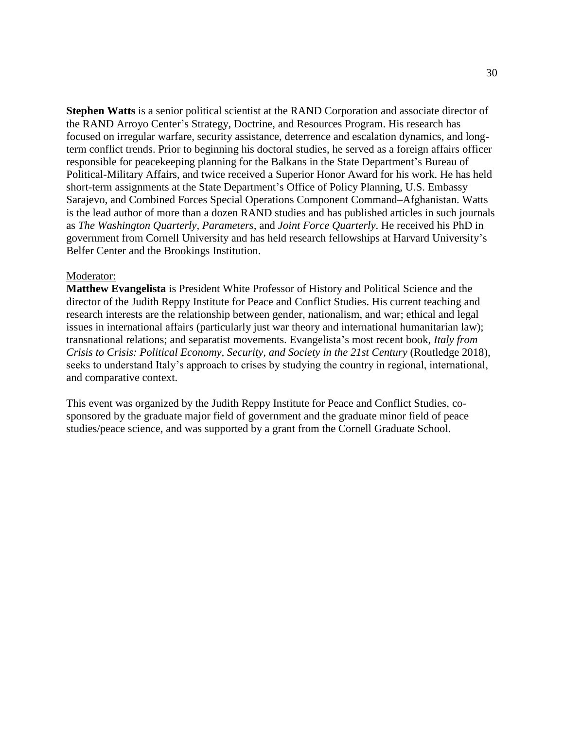**Stephen Watts** is a senior political scientist at the RAND Corporation and associate director of the RAND Arroyo Center's Strategy, Doctrine, and Resources Program. His research has focused on irregular warfare, security assistance, deterrence and escalation dynamics, and longterm conflict trends. Prior to beginning his doctoral studies, he served as a foreign affairs officer responsible for peacekeeping planning for the Balkans in the State Department's Bureau of Political-Military Affairs, and twice received a Superior Honor Award for his work. He has held short-term assignments at the State Department's Office of Policy Planning, U.S. Embassy Sarajevo, and Combined Forces Special Operations Component Command–Afghanistan. Watts is the lead author of more than a dozen RAND studies and has published articles in such journals as *The Washington Quarterly, Parameters,* and *Joint Force Quarterly*. He received his PhD in government from Cornell University and has held research fellowships at Harvard University's Belfer Center and the Brookings Institution.

#### Moderator:

**Matthew Evangelista** is President White Professor of History and Political Science and the director of the Judith Reppy Institute for Peace and Conflict Studies. His current teaching and research interests are the relationship between gender, nationalism, and war; ethical and legal issues in international affairs (particularly just war theory and international humanitarian law); transnational relations; and separatist movements. Evangelista's most recent book, *Italy from Crisis to Crisis: Political Economy, Security, and Society in the 21st Century* (Routledge 2018), seeks to understand Italy's approach to crises by studying the country in regional, international, and comparative context.

This event was organized by the Judith Reppy Institute for Peace and Conflict Studies, cosponsored by the graduate major field of government and the graduate minor field of peace studies/peace science, and was supported by a grant from the Cornell Graduate School.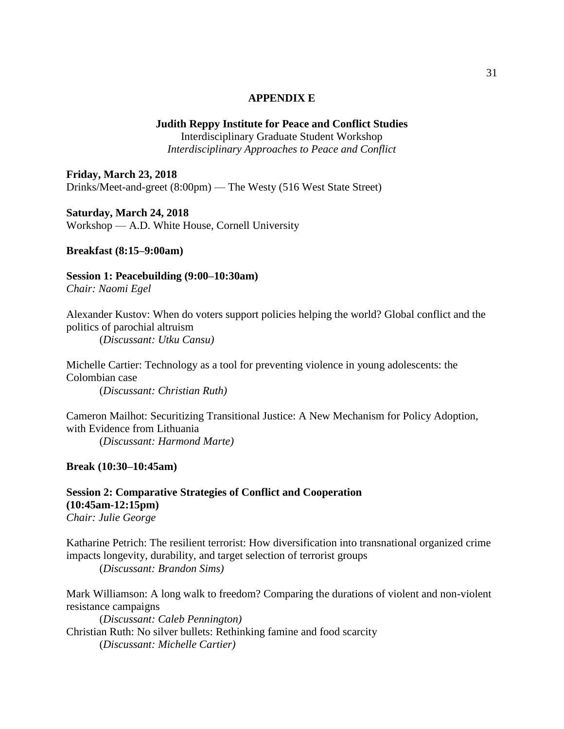## **APPENDIX E**

## **Judith Reppy Institute for Peace and Conflict Studies**

Interdisciplinary Graduate Student Workshop *Interdisciplinary Approaches to Peace and Conflict*

**Friday, March 23, 2018** Drinks/Meet-and-greet (8:00pm) — The Westy (516 West State Street)

**Saturday, March 24, 2018** Workshop — A.D. White House, Cornell University

**Breakfast (8:15–9:00am)**

**Session 1: Peacebuilding (9:00–10:30am)**

*Chair: Naomi Egel*

Alexander Kustov: When do voters support policies helping the world? Global conflict and the politics of parochial altruism

(*Discussant: Utku Cansu)*

Michelle Cartier: Technology as a tool for preventing violence in young adolescents: the Colombian case (*Discussant: Christian Ruth)*

Cameron Mailhot: Securitizing Transitional Justice: A New Mechanism for Policy Adoption, with Evidence from Lithuania (*Discussant: Harmond Marte)*

**Break (10:30–10:45am)**

**Session 2: Comparative Strategies of Conflict and Cooperation (10:45am-12:15pm)** *Chair: Julie George*

Katharine Petrich: The resilient terrorist: How diversification into transnational organized crime impacts longevity, durability, and target selection of terrorist groups

(*Discussant: Brandon Sims)*

Mark Williamson: A long walk to freedom? Comparing the durations of violent and non-violent resistance campaigns

(*Discussant: Caleb Pennington)* Christian Ruth: No silver bullets: Rethinking famine and food scarcity (*Discussant: Michelle Cartier)*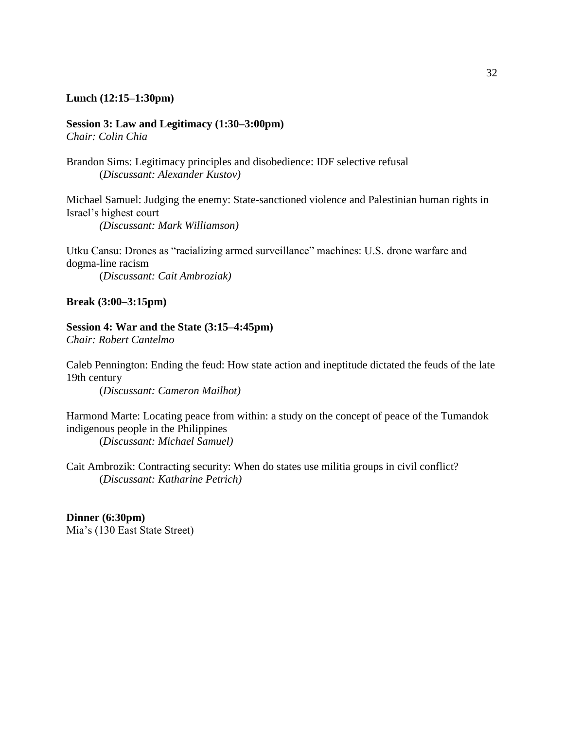## **Lunch (12:15–1:30pm)**

## **Session 3: Law and Legitimacy (1:30–3:00pm)**

*Chair: Colin Chia*

Brandon Sims: Legitimacy principles and disobedience: IDF selective refusal (*Discussant: Alexander Kustov)*

Michael Samuel: Judging the enemy: State-sanctioned violence and Palestinian human rights in Israel's highest court

*(Discussant: Mark Williamson)*

Utku Cansu: Drones as "racializing armed surveillance" machines: U.S. drone warfare and dogma-line racism (*Discussant: Cait Ambroziak)*

**Break (3:00–3:15pm)**

### **Session 4: War and the State (3:15–4:45pm)**

*Chair: Robert Cantelmo*

Caleb Pennington: Ending the feud: How state action and ineptitude dictated the feuds of the late 19th century

(*Discussant: Cameron Mailhot)*

Harmond Marte: Locating peace from within: a study on the concept of peace of the Tumandok indigenous people in the Philippines

(*Discussant: Michael Samuel)*

Cait Ambrozik: Contracting security: When do states use militia groups in civil conflict? (*Discussant: Katharine Petrich)*

**Dinner (6:30pm)** Mia's (130 East State Street)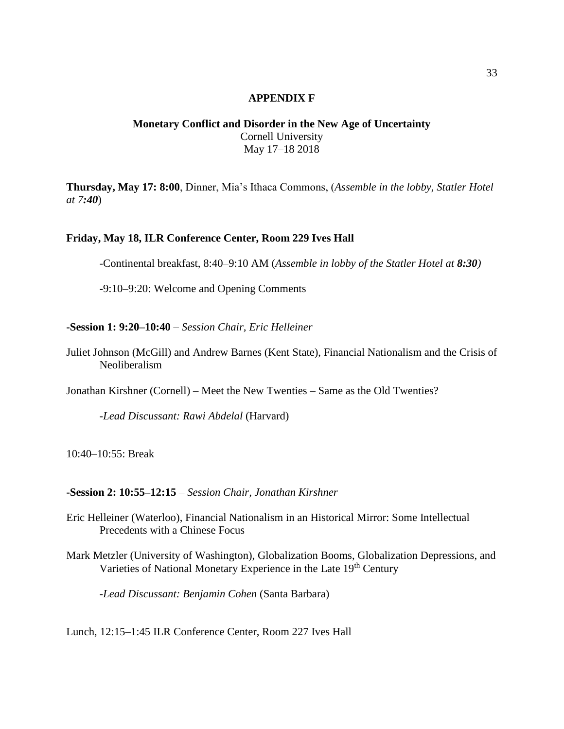## **APPENDIX F**

## **Monetary Conflict and Disorder in the New Age of Uncertainty** Cornell University May 17–18 2018

**Thursday, May 17: 8:00**, Dinner, Mia's Ithaca Commons, (*Assemble in the lobby, Statler Hotel at 7:40*)

## **Friday, May 18, ILR Conference Center, Room 229 Ives Hall**

-Continental breakfast, 8:40–9:10 AM (*Assemble in lobby of the Statler Hotel at 8:30)*

-9:10–9:20: Welcome and Opening Comments

#### **-Session 1: 9:20–10:40** – *Session Chair, Eric Helleiner*

Juliet Johnson (McGill) and Andrew Barnes (Kent State), Financial Nationalism and the Crisis of Neoliberalism

Jonathan Kirshner (Cornell) – Meet the New Twenties – Same as the Old Twenties?

-*Lead Discussant: Rawi Abdelal* (Harvard)

10:40–10:55: Break

## **-Session 2: 10:55–12:15** – *Session Chair, Jonathan Kirshner*

- Eric Helleiner (Waterloo), Financial Nationalism in an Historical Mirror: Some Intellectual Precedents with a Chinese Focus
- Mark Metzler (University of Washington), Globalization Booms, Globalization Depressions, and Varieties of National Monetary Experience in the Late 19<sup>th</sup> Century

-*Lead Discussant: Benjamin Cohen* (Santa Barbara)

Lunch, 12:15–1:45 ILR Conference Center, Room 227 Ives Hall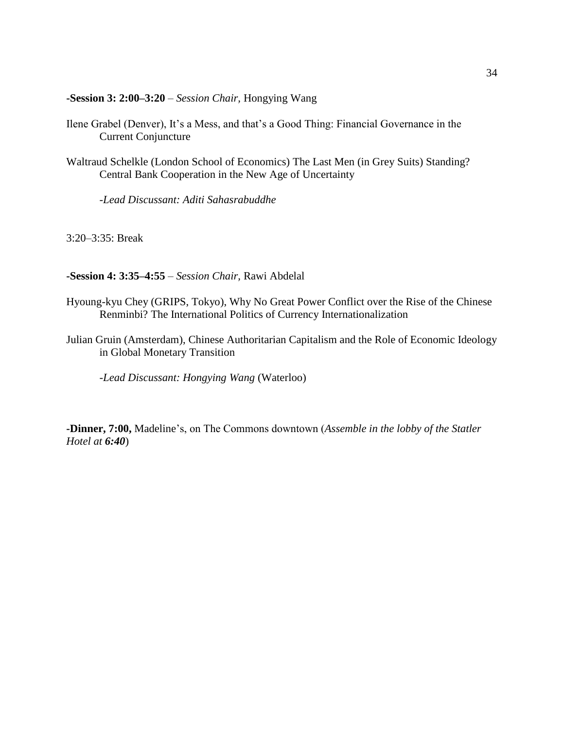**-Session 3: 2:00–3:20** – *Session Chair,* Hongying Wang

- Ilene Grabel (Denver), It's a Mess, and that's a Good Thing: Financial Governance in the Current Conjuncture
- Waltraud Schelkle (London School of Economics) The Last Men (in Grey Suits) Standing? Central Bank Cooperation in the New Age of Uncertainty

-*Lead Discussant: Aditi Sahasrabuddhe*

3:20–3:35: Break

**-Session 4: 3:35–4:55** – *Session Chair,* Rawi Abdelal

- Hyoung-kyu Chey (GRIPS, Tokyo), Why No Great Power Conflict over the Rise of the Chinese Renminbi? The International Politics of Currency Internationalization
- Julian Gruin (Amsterdam), Chinese Authoritarian Capitalism and the Role of Economic Ideology in Global Monetary Transition

-*Lead Discussant: Hongying Wang* (Waterloo)

**-Dinner, 7:00,** Madeline's, on The Commons downtown (*Assemble in the lobby of the Statler Hotel at 6:40*)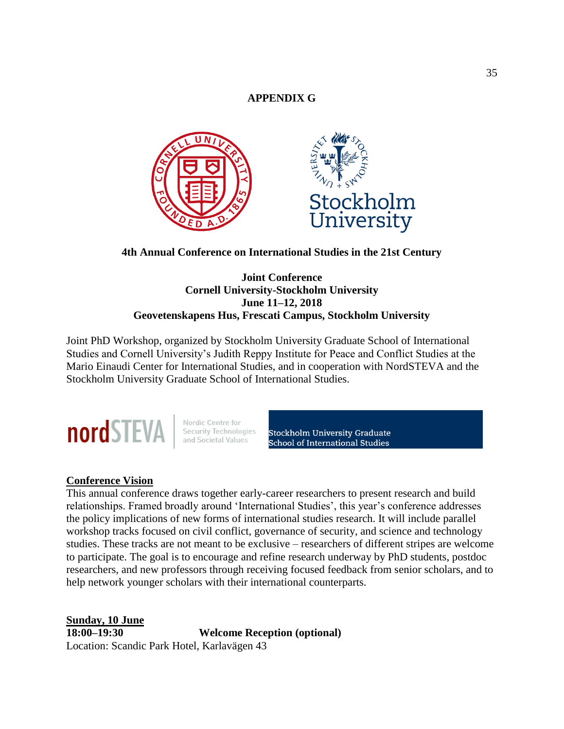## **APPENDIX G**



**4th Annual Conference on International Studies in the 21st Century**

## **Joint Conference Cornell University-Stockholm University June 11–12, 2018 Geovetenskapens Hus, Frescati Campus, Stockholm University**

Joint PhD Workshop, organized by Stockholm University Graduate School of International Studies and Cornell University's Judith Reppy Institute for Peace and Conflict Studies at the Mario Einaudi Center for International Studies, and in cooperation with NordSTEVA and the Stockholm University Graduate School of International Studies.



Nordic Centre for<br>Security Technologies<br>and Societal Values

Stockholm University Graduate<br>School of International Studies

## **Conference Vision**

This annual conference draws together early-career researchers to present research and build relationships. Framed broadly around 'International Studies', this year's conference addresses the policy implications of new forms of international studies research. It will include parallel workshop tracks focused on civil conflict, governance of security, and science and technology studies. These tracks are not meant to be exclusive – researchers of different stripes are welcome to participate. The goal is to encourage and refine research underway by PhD students, postdoc researchers, and new professors through receiving focused feedback from senior scholars, and to help network younger scholars with their international counterparts.

**Sunday, 10 June 18:00–19:30 Welcome Reception (optional)** Location: Scandic Park Hotel, Karlavägen 43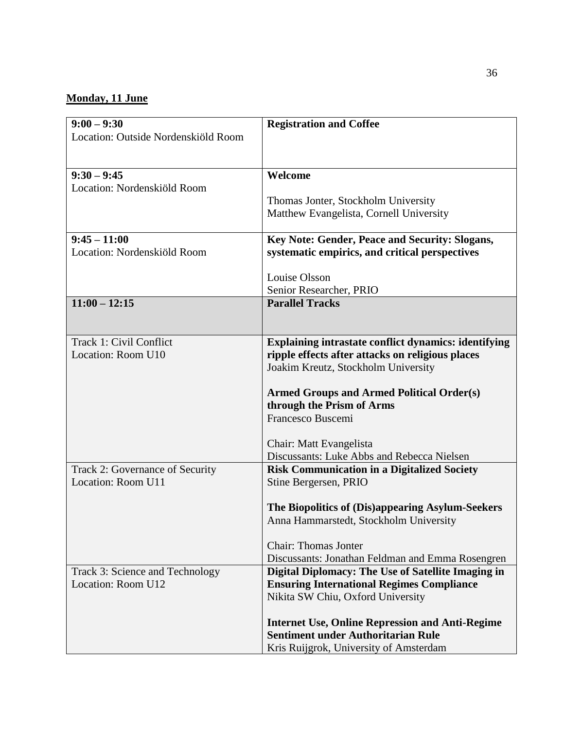## **Monday, 11 June**

| $9:00 - 9:30$                                | <b>Registration and Coffee</b>                              |
|----------------------------------------------|-------------------------------------------------------------|
| Location: Outside Nordenskiöld Room          |                                                             |
|                                              |                                                             |
| $9:30 - 9:45$<br>Location: Nordenskiöld Room | Welcome                                                     |
|                                              | Thomas Jonter, Stockholm University                         |
|                                              | Matthew Evangelista, Cornell University                     |
|                                              |                                                             |
| $9:45 - 11:00$                               | Key Note: Gender, Peace and Security: Slogans,              |
| Location: Nordenskiöld Room                  | systematic empirics, and critical perspectives              |
|                                              | Louise Olsson                                               |
|                                              | Senior Researcher, PRIO                                     |
| $11:00 - 12:15$                              | <b>Parallel Tracks</b>                                      |
|                                              |                                                             |
| Track 1: Civil Conflict                      | <b>Explaining intrastate conflict dynamics: identifying</b> |
| Location: Room U10                           | ripple effects after attacks on religious places            |
|                                              | Joakim Kreutz, Stockholm University                         |
|                                              |                                                             |
|                                              | <b>Armed Groups and Armed Political Order(s)</b>            |
|                                              | through the Prism of Arms<br>Francesco Buscemi              |
|                                              |                                                             |
|                                              | Chair: Matt Evangelista                                     |
|                                              | Discussants: Luke Abbs and Rebecca Nielsen                  |
| Track 2: Governance of Security              | <b>Risk Communication in a Digitalized Society</b>          |
| Location: Room U11                           | Stine Bergersen, PRIO                                       |
|                                              | The Biopolitics of (Dis)appearing Asylum-Seekers            |
|                                              | Anna Hammarstedt, Stockholm University                      |
|                                              | <b>Chair: Thomas Jonter</b>                                 |
|                                              | Discussants: Jonathan Feldman and Emma Rosengren            |
| Track 3: Science and Technology              | Digital Diplomacy: The Use of Satellite Imaging in          |
| Location: Room U12                           | <b>Ensuring International Regimes Compliance</b>            |
|                                              | Nikita SW Chiu, Oxford University                           |
|                                              | <b>Internet Use, Online Repression and Anti-Regime</b>      |
|                                              | <b>Sentiment under Authoritarian Rule</b>                   |
|                                              | Kris Ruijgrok, University of Amsterdam                      |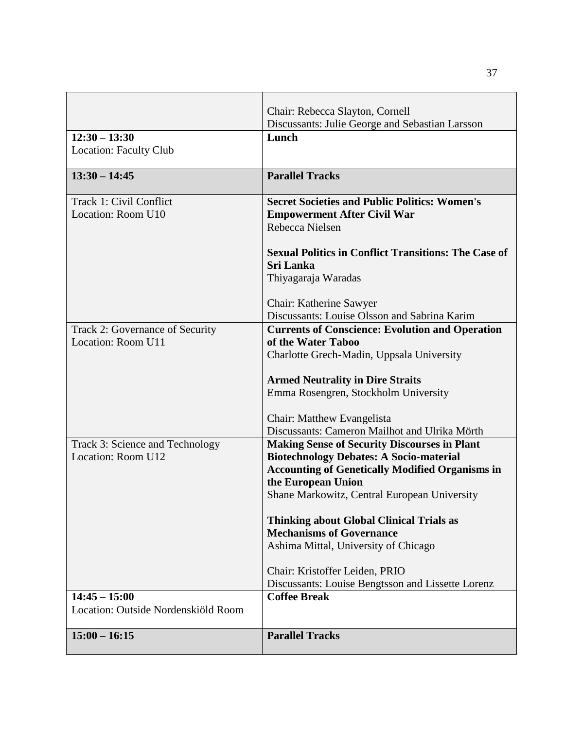|                                                       | Chair: Rebecca Slayton, Cornell                                                                          |
|-------------------------------------------------------|----------------------------------------------------------------------------------------------------------|
|                                                       | Discussants: Julie George and Sebastian Larsson                                                          |
| $12:30 - 13:30$                                       | Lunch                                                                                                    |
| <b>Location: Faculty Club</b>                         |                                                                                                          |
| $13:30 - 14:45$                                       | <b>Parallel Tracks</b>                                                                                   |
| Track 1: Civil Conflict                               | <b>Secret Societies and Public Politics: Women's</b>                                                     |
| Location: Room U10                                    | <b>Empowerment After Civil War</b>                                                                       |
|                                                       | Rebecca Nielsen                                                                                          |
|                                                       | <b>Sexual Politics in Conflict Transitions: The Case of</b>                                              |
|                                                       | <b>Sri Lanka</b>                                                                                         |
|                                                       | Thiyagaraja Waradas                                                                                      |
|                                                       | Chair: Katherine Sawyer                                                                                  |
|                                                       | Discussants: Louise Olsson and Sabrina Karim                                                             |
| Track 2: Governance of Security                       | <b>Currents of Conscience: Evolution and Operation</b>                                                   |
| Location: Room U11                                    | of the Water Taboo                                                                                       |
|                                                       | Charlotte Grech-Madin, Uppsala University                                                                |
|                                                       | <b>Armed Neutrality in Dire Straits</b>                                                                  |
|                                                       | Emma Rosengren, Stockholm University                                                                     |
|                                                       |                                                                                                          |
|                                                       | Chair: Matthew Evangelista                                                                               |
|                                                       | Discussants: Cameron Mailhot and Ulrika Mörth                                                            |
| Track 3: Science and Technology<br>Location: Room U12 | <b>Making Sense of Security Discourses in Plant</b>                                                      |
|                                                       | <b>Biotechnology Debates: A Socio-material</b><br><b>Accounting of Genetically Modified Organisms in</b> |
|                                                       | the European Union                                                                                       |
|                                                       | Shane Markowitz, Central European University                                                             |
|                                                       |                                                                                                          |
|                                                       | <b>Thinking about Global Clinical Trials as</b>                                                          |
|                                                       | <b>Mechanisms of Governance</b>                                                                          |
|                                                       | Ashima Mittal, University of Chicago                                                                     |
|                                                       | Chair: Kristoffer Leiden, PRIO                                                                           |
|                                                       | Discussants: Louise Bengtsson and Lissette Lorenz                                                        |
| $14:45 - 15:00$                                       | <b>Coffee Break</b>                                                                                      |
| Location: Outside Nordenskiöld Room                   |                                                                                                          |
| $15:00 - 16:15$                                       | <b>Parallel Tracks</b>                                                                                   |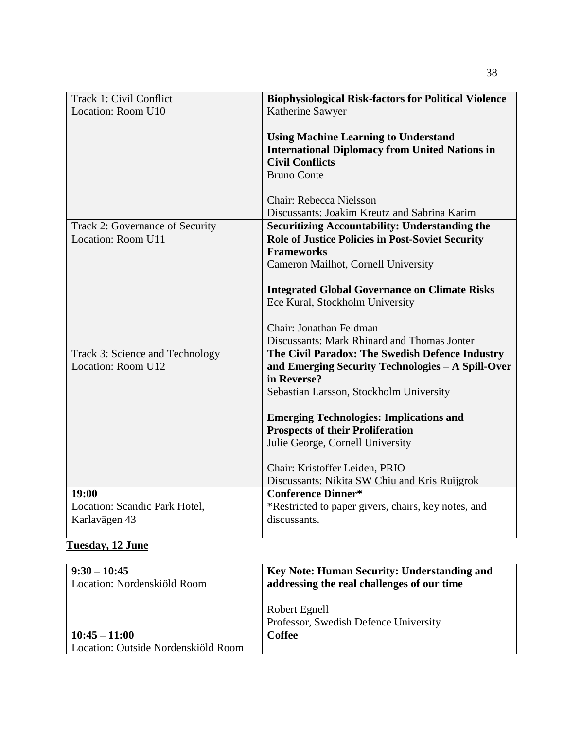| Track 1: Civil Conflict         | <b>Biophysiological Risk-factors for Political Violence</b>         |
|---------------------------------|---------------------------------------------------------------------|
| Location: Room U10              | Katherine Sawyer                                                    |
|                                 |                                                                     |
|                                 | <b>Using Machine Learning to Understand</b>                         |
|                                 | <b>International Diplomacy from United Nations in</b>               |
|                                 | <b>Civil Conflicts</b><br><b>Bruno Conte</b>                        |
|                                 |                                                                     |
|                                 | Chair: Rebecca Nielsson                                             |
|                                 | Discussants: Joakim Kreutz and Sabrina Karim                        |
| Track 2: Governance of Security | <b>Securitizing Accountability: Understanding the</b>               |
| Location: Room U11              | <b>Role of Justice Policies in Post-Soviet Security</b>             |
|                                 | <b>Frameworks</b>                                                   |
|                                 | Cameron Mailhot, Cornell University                                 |
|                                 | <b>Integrated Global Governance on Climate Risks</b>                |
|                                 | Ece Kural, Stockholm University                                     |
|                                 |                                                                     |
|                                 | Chair: Jonathan Feldman                                             |
|                                 | Discussants: Mark Rhinard and Thomas Jonter                         |
| Track 3: Science and Technology | The Civil Paradox: The Swedish Defence Industry                     |
| Location: Room U12              | and Emerging Security Technologies - A Spill-Over                   |
|                                 | in Reverse?                                                         |
|                                 | Sebastian Larsson, Stockholm University                             |
|                                 | <b>Emerging Technologies: Implications and</b>                      |
|                                 | <b>Prospects of their Proliferation</b>                             |
|                                 | Julie George, Cornell University                                    |
|                                 |                                                                     |
|                                 | Chair: Kristoffer Leiden, PRIO                                      |
|                                 | Discussants: Nikita SW Chiu and Kris Ruijgrok                       |
| 19:00                           | <b>Conference Dinner*</b>                                           |
| Location: Scandic Park Hotel,   | *Restricted to paper givers, chairs, key notes, and<br>discussants. |
| Karlavägen 43                   |                                                                     |

# **Tuesday, 12 June**

| $9:30 - 10:45$<br>Location: Nordenskiöld Room | <b>Key Note: Human Security: Understanding and</b><br>addressing the real challenges of our time |
|-----------------------------------------------|--------------------------------------------------------------------------------------------------|
|                                               | Robert Egnell                                                                                    |
|                                               | Professor, Swedish Defence University                                                            |
| $10:45 - 11:00$                               | <b>Coffee</b>                                                                                    |
| Location: Outside Nordenskiöld Room           |                                                                                                  |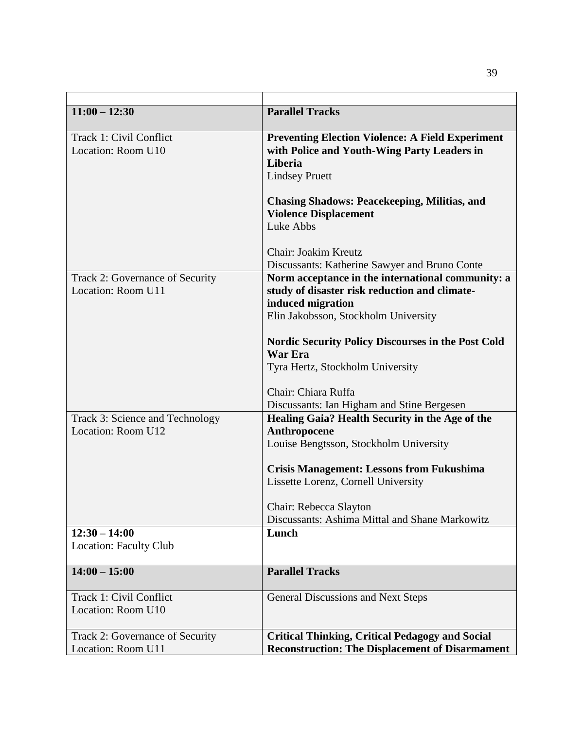| $11:00 - 12:30$                 | <b>Parallel Tracks</b>                                    |
|---------------------------------|-----------------------------------------------------------|
| Track 1: Civil Conflict         | <b>Preventing Election Violence: A Field Experiment</b>   |
| Location: Room U10              | with Police and Youth-Wing Party Leaders in               |
|                                 | Liberia                                                   |
|                                 | <b>Lindsey Pruett</b>                                     |
|                                 | <b>Chasing Shadows: Peacekeeping, Militias, and</b>       |
|                                 | <b>Violence Displacement</b>                              |
|                                 | Luke Abbs                                                 |
|                                 | Chair: Joakim Kreutz                                      |
|                                 | Discussants: Katherine Sawyer and Bruno Conte             |
| Track 2: Governance of Security | Norm acceptance in the international community: a         |
| Location: Room U11              | study of disaster risk reduction and climate-             |
|                                 | induced migration                                         |
|                                 | Elin Jakobsson, Stockholm University                      |
|                                 | <b>Nordic Security Policy Discourses in the Post Cold</b> |
|                                 | <b>War Era</b>                                            |
|                                 | Tyra Hertz, Stockholm University                          |
|                                 | Chair: Chiara Ruffa                                       |
|                                 | Discussants: Ian Higham and Stine Bergesen                |
| Track 3: Science and Technology | Healing Gaia? Health Security in the Age of the           |
| Location: Room U12              | Anthropocene                                              |
|                                 | Louise Bengtsson, Stockholm University                    |
|                                 | <b>Crisis Management: Lessons from Fukushima</b>          |
|                                 | Lissette Lorenz, Cornell University                       |
|                                 | Chair: Rebecca Slayton                                    |
|                                 | Discussants: Ashima Mittal and Shane Markowitz            |
| $12:30 - 14:00$                 | Lunch                                                     |
| <b>Location: Faculty Club</b>   |                                                           |
|                                 |                                                           |
| $14:00 - 15:00$                 | <b>Parallel Tracks</b>                                    |
| Track 1: Civil Conflict         | General Discussions and Next Steps                        |
| Location: Room U10              |                                                           |
| Track 2: Governance of Security | <b>Critical Thinking, Critical Pedagogy and Social</b>    |
| Location: Room U11              | <b>Reconstruction: The Displacement of Disarmament</b>    |